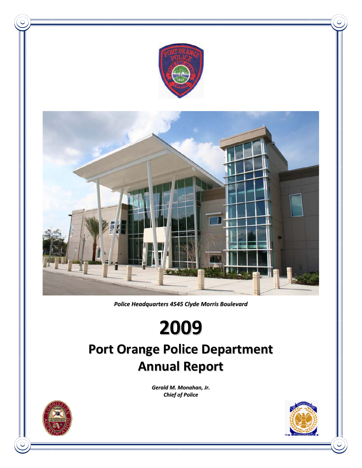

*Police Headquarters 4545 Clyde Morris Boulevard*

# **2009**

## **Port Orange Police Department Annual Report**

*Gerald M. Monahan, Jr. Chief of Police*



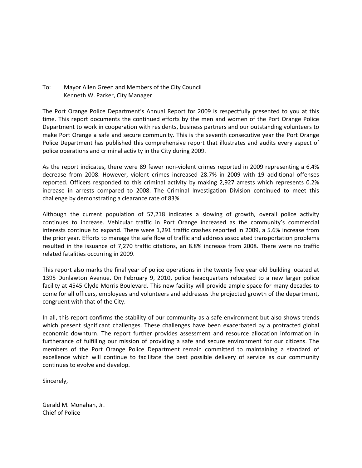#### To: Mayor Allen Green and Members of the City Council Kenneth W. Parker, City Manager

The Port Orange Police Department's Annual Report for 2009 is respectfully presented to you at this time. This report documents the continued efforts by the men and women of the Port Orange Police Department to work in cooperation with residents, business partners and our outstanding volunteers to make Port Orange a safe and secure community. This is the seventh consecutive year the Port Orange Police Department has published this comprehensive report that illustrates and audits every aspect of police operations and criminal activity in the City during 2009.

As the report indicates, there were 89 fewer non‐violent crimes reported in 2009 representing a 6.4% decrease from 2008. However, violent crimes increased 28.7% in 2009 with 19 additional offenses reported. Officers responded to this criminal activity by making 2,927 arrests which represents 0.2% increase in arrests compared to 2008. The Criminal Investigation Division continued to meet this challenge by demonstrating a clearance rate of 83%.

Although the current population of 57,218 indicates a slowing of growth, overall police activity continues to increase. Vehicular traffic in Port Orange increased as the community's commercial interests continue to expand. There were 1,291 traffic crashes reported in 2009, a 5.6% increase from the prior year. Efforts to manage the safe flow of traffic and address associated transportation problems resulted in the issuance of 7,270 traffic citations, an 8.8% increase from 2008. There were no traffic related fatalities occurring in 2009.

This report also marks the final year of police operations in the twenty five year old building located at 1395 Dunlawton Avenue. On February 9, 2010, police headquarters relocated to a new larger police facility at 4545 Clyde Morris Boulevard. This new facility will provide ample space for many decades to come for all officers, employees and volunteers and addresses the projected growth of the department, congruent with that of the City.

In all, this report confirms the stability of our community as a safe environment but also shows trends which present significant challenges. These challenges have been exacerbated by a protracted global economic downturn. The report further provides assessment and resource allocation information in furtherance of fulfilling our mission of providing a safe and secure environment for our citizens. The members of the Port Orange Police Department remain committed to maintaining a standard of excellence which will continue to facilitate the best possible delivery of service as our community continues to evolve and develop.

Sincerely,

Gerald M. Monahan, Jr. Chief of Police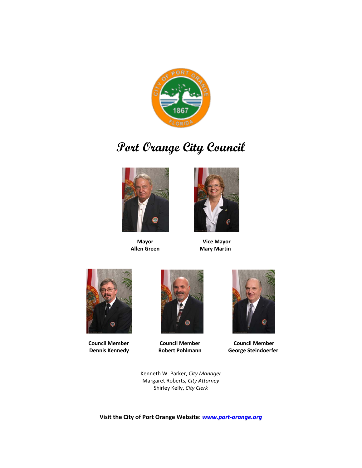

## **Port Orange City Council**





**Mayor Vice Mayor Allen Green Mary Martin**







**Council Member**<br> **Council Member**<br> **Council Member**<br> **Council Member**<br> **Council Member**<br> **Council Member**<br> **Council Member**<br> **Council Member Dennis Kennedy Robert Pohlmann George Steindoerfer**

Kenneth W. Parker, *City Manager* Margaret Roberts, *City Attorney* Shirley Kelly, *City Clerk*

**Visit the City of Port Orange Website:** *www.port‐orange.org*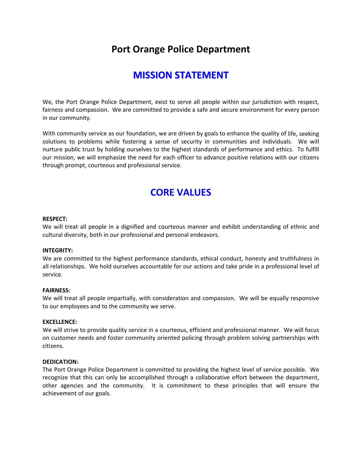## **Port Orange Police Department**

## **MISSION STATEMENT**

We, the Port Orange Police Department, exist to serve all people within our jurisdiction with respect, fairness and compassion. We are committed to provide a safe and secure environment for every person in our community.

With community service as our foundation, we are driven by goals to enhance the quality of life, seeking solutions to problems while fostering a sense of security in communities and individuals. We will nurture public trust by holding ourselves to the highest standards of performance and ethics. To fulfill our mission, we will emphasize the need for each officer to advance positive relations with our citizens through prompt, courteous and professional service.

## **CORE VALUES**

#### **RESPECT:**

We will treat all people in a dignified and courteous manner and exhibit understanding of ethnic and cultural diversity, both in our professional and personal endeavors.

#### **INTEGRITY:**

We are committed to the highest performance standards, ethical conduct, honesty and truthfulness in all relationships. We hold ourselves accountable for our actions and take pride in a professional level of service.

#### **FAIRNESS:**

We will treat all people impartially, with consideration and compassion. We will be equally responsive to our employees and to the community we serve.

#### **EXCELLENCE:**

We will strive to provide quality service in a courteous, efficient and professional manner. We will focus on customer needs and foster community oriented policing through problem solving partnerships with citizens.

#### **DEDICATION:**

The Port Orange Police Department is committed to providing the highest level of service possible. We recognize that this can only be accomplished through a collaborative effort between the department, other agencies and the community. It is commitment to these principles that will ensure the achievement of our goals.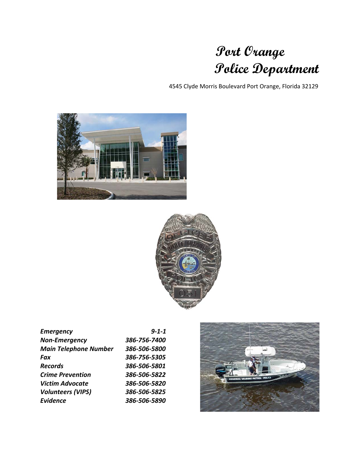## **Port Orange Police Department**

4545 Clyde Morris Boulevard Port Orange, Florida 32129





| <b>Emergency</b>             | $9 - 1 - 1$  |
|------------------------------|--------------|
| <b>Non-Emergency</b>         | 386-756-7400 |
| <b>Main Telephone Number</b> | 386-506-5800 |
| Fax                          | 386-756-5305 |
| <b>Records</b>               | 386-506-5801 |
| <b>Crime Prevention</b>      | 386-506-5822 |
| <b>Victim Advocate</b>       | 386-506-5820 |
| <b>Volunteers (VIPS)</b>     | 386-506-5825 |
| <b>Evidence</b>              | 386-506-5890 |

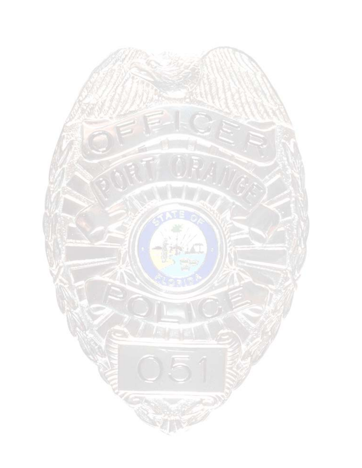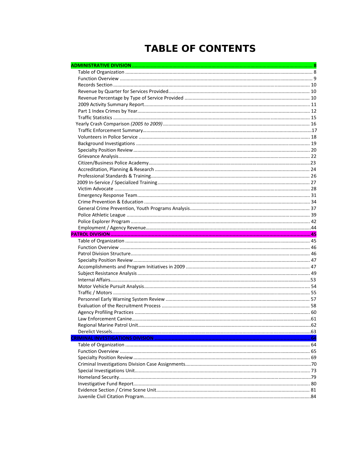## **TABLE OF CONTENTS**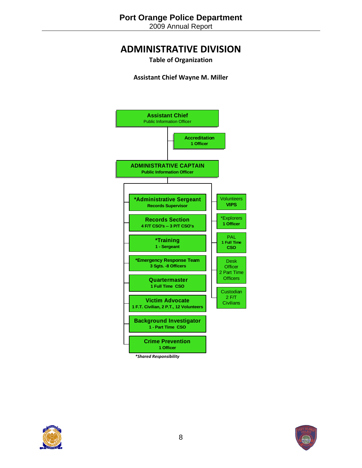## **ADMINISTRATIVE DIVISION**

**Table of Organization**

**Assistant Chief Wayne M. Miller**



 *\*Shared Responsibility*



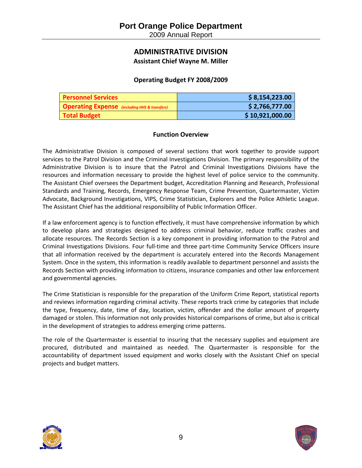2009 Annual Report

#### **ADMINISTRATIVE DIVISION Assistant Chief Wayne M. Miller**

#### **Operating Budget FY 2008/2009**

| <b>Personnel Services</b>                            | \$8,154,223.00  |
|------------------------------------------------------|-----------------|
| <b>Operating Expense</b> (including HHS & transfers) | \$2,766,777.00  |
| <b>Total Budget</b>                                  | \$10,921,000.00 |

#### **Function Overview**

The Administrative Division is composed of several sections that work together to provide support services to the Patrol Division and the Criminal Investigations Division. The primary responsibility of the Administrative Division is to insure that the Patrol and Criminal Investigations Divisions have the resources and information necessary to provide the highest level of police service to the community. The Assistant Chief oversees the Department budget, Accreditation Planning and Research, Professional Standards and Training, Records, Emergency Response Team, Crime Prevention, Quartermaster, Victim Advocate, Background Investigations, VIPS, Crime Statistician, Explorers and the Police Athletic League. The Assistant Chief has the additional responsibility of Public Information Officer.

If a law enforcement agency is to function effectively, it must have comprehensive information by which to develop plans and strategies designed to address criminal behavior, reduce traffic crashes and allocate resources. The Records Section is a key component in providing information to the Patrol and Criminal Investigations Divisions. Four full‐time and three part‐time Community Service Officers insure that all information received by the department is accurately entered into the Records Management System. Once in the system, this information is readily available to department personnel and assists the Records Section with providing information to citizens, insurance companies and other law enforcement and governmental agencies.

The Crime Statistician is responsible for the preparation of the Uniform Crime Report, statistical reports and reviews information regarding criminal activity. These reports track crime by categories that include the type, frequency, date, time of day, location, victim, offender and the dollar amount of property damaged or stolen. This information not only provides historical comparisons of crime, but also is critical in the development of strategies to address emerging crime patterns.

The role of the Quartermaster is essential to insuring that the necessary supplies and equipment are procured, distributed and maintained as needed. The Quartermaster is responsible for the accountability of department issued equipment and works closely with the Assistant Chief on special projects and budget matters.



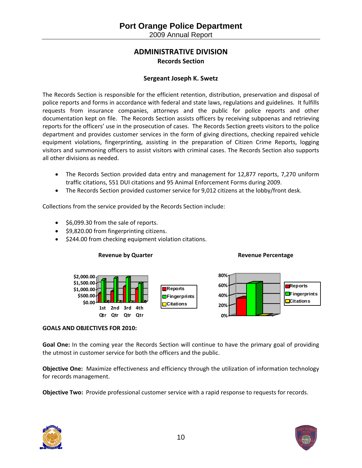## **ADMINISTRATIVE DIVISION Records Section**

#### **Sergeant Joseph K. Swetz**

The Records Section is responsible for the efficient retention, distribution, preservation and disposal of police reports and forms in accordance with federal and state laws, regulations and guidelines. It fulfills requests from insurance companies, attorneys and the public for police reports and other documentation kept on file. The Records Section assists officers by receiving subpoenas and retrieving reports for the officers' use in the prosecution of cases. The Records Section greets visitors to the police department and provides customer services in the form of giving directions, checking repaired vehicle equipment violations, fingerprinting, assisting in the preparation of Citizen Crime Reports, logging visitors and summoning officers to assist visitors with criminal cases. The Records Section also supports all other divisions as needed.

- The Records Section provided data entry and management for 12,877 reports, 7,270 uniform traffic citations, 551 DUI citations and 95 Animal Enforcement Forms during 2009.
- The Records Section provided customer service for 9,012 citizens at the lobby/front desk.

Collections from the service provided by the Records Section include:

- \$6,099.30 from the sale of reports.
- \$9,820.00 from fingerprinting citizens.
- $\bullet$  \$244.00 from checking equipment violation citations.







#### **GOALS AND OBJECTIVES FOR 2010:**

**Goal One:** In the coming year the Records Section will continue to have the primary goal of providing the utmost in customer service for both the officers and the public.

**Objective One:** Maximize effectiveness and efficiency through the utilization of information technology for records management.

**Objective Two:** Provide professional customer service with a rapid response to requests for records.



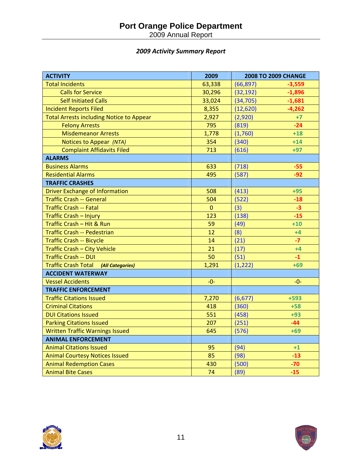## **Port Orange Police Department**

2009 Annual Report

## *2009 Activity Summary Report*

| <b>ACTIVITY</b>                                 | 2009         | <b>2008 TO 2009 CHANGE</b> |
|-------------------------------------------------|--------------|----------------------------|
| <b>Total Incidents</b>                          | 63,338       | $-3,559$<br>(66, 897)      |
| <b>Calls for Service</b>                        | 30,296       | $-1,896$<br>(32, 192)      |
| <b>Self Initiated Calls</b>                     | 33,024       | (34, 705)<br>$-1,681$      |
| <b>Incident Reports Filed</b>                   | 8,355        | (12, 620)<br>$-4,262$      |
| <b>Total Arrests including Notice to Appear</b> | 2,927        | (2,920)<br>$+7$            |
| <b>Felony Arrests</b>                           | 795          | (819)<br>$-24$             |
| Misdemeanor Arrests                             | 1,778        | (1,760)<br>$+18$           |
| Notices to Appear (NTA)                         | 354          | (340)<br>$+14$             |
| <b>Complaint Affidavits Filed</b>               | 713          | (616)<br>$+97$             |
| <b>ALARMS</b>                                   |              |                            |
| <b>Business Alarms</b>                          | 633          | (718)<br>$-55$             |
| <b>Residential Alarms</b>                       | 495          | (587)<br>$-92$             |
| <b>TRAFFIC CRASHES</b>                          |              |                            |
| <b>Driver Exchange of Information</b>           | 508          | $+95$<br>(413)             |
| <b>Traffic Crash -- General</b>                 | 504          | (522)<br>$-18$             |
| <b>Traffic Crash -- Fatal</b>                   | $\mathbf{0}$ | (3)<br>$-3$                |
| Traffic Crash - Injury                          | 123          | (138)<br>$-15$             |
| Traffic Crash - Hit & Run                       | 59           | (49)<br>$+10$              |
| <b>Traffic Crash -- Pedestrian</b>              | 12           | (8)<br>$+4$                |
| <b>Traffic Crash -- Bicycle</b>                 | 14           | (21)<br>$-7$               |
| Traffic Crash - City Vehicle                    | 21           | (17)<br>$+4$               |
| <b>Traffic Crash -- DUI</b>                     | 50           | (51)<br>$-1$               |
| <b>Traffic Crash Total</b><br>(All Categories)  | 1,291        | $+69$<br>(1, 222)          |
| <b>ACCIDENT WATERWAY</b>                        |              |                            |
| <b>Vessel Accidents</b>                         | $-0-$        | $-0-$                      |
| <b>TRAFFIC ENFORCEMENT</b>                      |              |                            |
| <b>Traffic Citations Issued</b>                 | 7,270        | (6, 677)<br>$+593$         |
| <b>Criminal Citations</b>                       | 418          | $+58$<br>(360)             |
| <b>DUI Citations Issued</b>                     | 551          | (458)<br>$+93$             |
| <b>Parking Citations Issued</b>                 | 207          | $-44$<br>(251)             |
| <b>Written Traffic Warnings Issued</b>          | 645          | (576)<br>$+69$             |
| <b>ANIMAL ENFORCEMENT</b>                       |              |                            |
| <b>Animal Citations Issued</b>                  | 95           | (94)<br>$+1$               |
| <b>Animal Courtesy Notices Issued</b>           | 85           | $-13$<br>(98)              |
| <b>Animal Redemption Cases</b>                  | 430          | (500)<br>$-70$             |
| <b>Animal Bite Cases</b>                        | 74           | $-15$<br>(89)              |



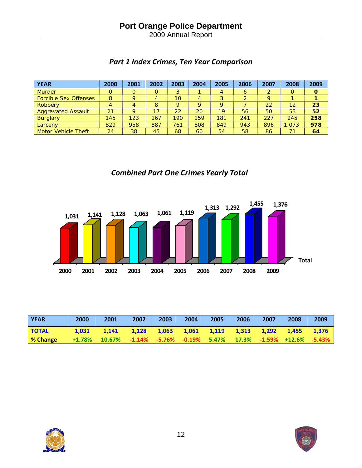| <b>YEAR</b>                  | 2000           | 2001 | 2002 | 2003 | 2004 | 2005           | 2006 | 2007 | 2008     | 2009 |
|------------------------------|----------------|------|------|------|------|----------------|------|------|----------|------|
| <b>Murder</b>                | O              | O    | O    | 3    |      | $\overline{4}$ | 6    |      | $\Omega$ | 0    |
| <b>Forcible Sex Offenses</b> | 8              | 9    | 4    | 10   | 4    | 3              |      | 9    |          |      |
| Robbery                      | $\overline{4}$ | 4    | 8    | 9    | 9    | 9              |      | 22   | 12       | 23   |
| <b>Aggravated Assault</b>    | 21             | Q    | 17   | 22   | 20   | 19             | 56   | 50   | 53       | 52   |
| <b>Burglary</b>              | 145            | 123  | 167  | 190  | 159  | 181            | 241  | 227  | 245      | 258  |
| Larceny                      | 829            | 958  | 887  | 761  | 808  | 849            | 943  | 896  | 1,073    | 978  |
| <b>Motor Vehicle Theft</b>   | 24             | 38   | 45   | 68   | 60   | 54             | 58   | 86   | 71       | 64   |

## *Part 1 Index Crimes, Ten Year Comparison*





| <b>YEAR</b>     | 2000 | 2001                                                                       | 2002                                                            | 2003 | 2004 | 2005 | 2006 | 2007 | 2008 | 2009 |
|-----------------|------|----------------------------------------------------------------------------|-----------------------------------------------------------------|------|------|------|------|------|------|------|
| <b>TOTAL</b>    |      | $1,031$ $1,141$                                                            | $1,128$ $1,063$ $1,061$ $1,119$ $1,313$ $1,292$ $1,455$ $1,376$ |      |      |      |      |      |      |      |
| <b>% Change</b> |      | $\mid$ +1.78% 10.67% -1.14% -5.76% -0.19% 5.47% 17.3% -1.59% +12.6% -5.43% |                                                                 |      |      |      |      |      |      |      |



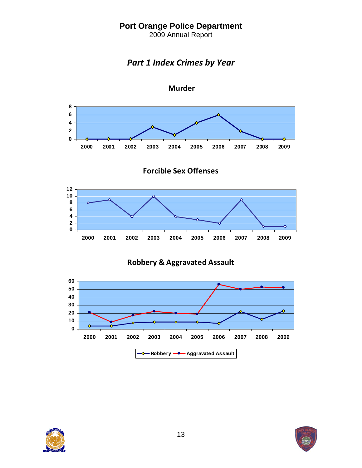*Part 1 Index Crimes by Year*



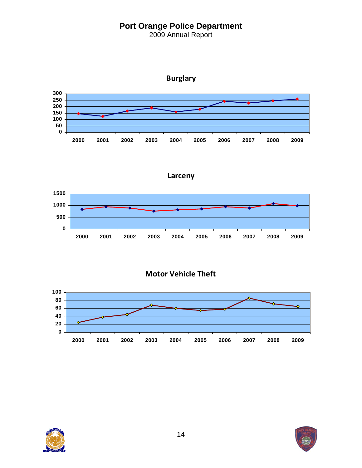2009 Annual Report



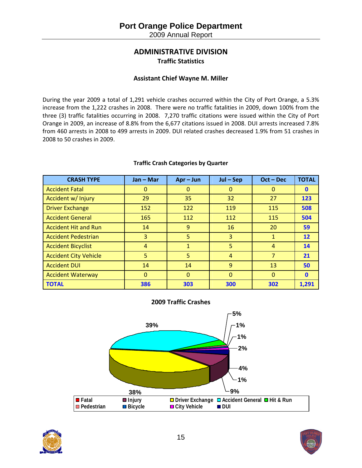## **ADMINISTRATIVE DIVISION Traffic Statistics**

#### **Assistant Chief Wayne M. Miller**

During the year 2009 a total of 1,291 vehicle crashes occurred within the City of Port Orange, a 5.3% increase from the 1,222 crashes in 2008. There were no traffic fatalities in 2009, down 100% from the three (3) traffic fatalities occurring in 2008. 7,270 traffic citations were issued within the City of Port Orange in 2009, an increase of 8.8% from the 6,677 citations issued in 2008. DUI arrests increased 7.8% from 460 arrests in 2008 to 499 arrests in 2009. DUI related crashes decreased 1.9% from 51 crashes in 2008 to 50 crashes in 2009.

| <b>CRASH TYPE</b>            | $Jan - Mar$ | $Apr - Jun$ | $Jul - Sep$    | $Oct - Dec$    | <b>TOTAL</b> |
|------------------------------|-------------|-------------|----------------|----------------|--------------|
| <b>Accident Fatal</b>        | $\Omega$    | 0           | 0              | 0              | $\mathbf{0}$ |
| Accident w/ Injury           | 29          | 35          | 32             | 27             | 123          |
| <b>Driver Exchange</b>       | 152         | 122         | 119            | 115            | 508          |
| <b>Accident General</b>      | 165         | 112         | 112            | 115            | 504          |
| <b>Accident Hit and Run</b>  | 14          | 9           | 16             | 20             | 59           |
| <b>Accident Pedestrian</b>   | 3           | 5           | 3              | $\mathbf 1$    | 12           |
| <b>Accident Bicyclist</b>    | 4           |             | 5              | $\overline{A}$ | 14           |
| <b>Accident City Vehicle</b> | 5           | 5           | $\overline{4}$ | 7              | 21           |
| <b>Accident DUI</b>          | 14          | 14          | 9              | 13             | 50           |
| <b>Accident Waterway</b>     | $\Omega$    | $\Omega$    | $\Omega$       | $\Omega$       | $\mathbf{0}$ |
| <b>TOTAL</b>                 | 386         | 303         | 300            | 302            | 1,291        |

#### **Traffic Crash Categories by Quarter**

#### **2009 Traffic Crashes**





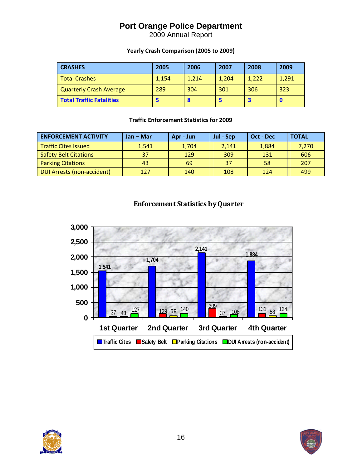## **Port Orange Police Department**

2009 Annual Report

#### **Yearly Crash Comparison (2005 to 2009)**

| <b>CRASHES</b>                  | 2005  | 2006  | 2007  | 2008  | 2009  |
|---------------------------------|-------|-------|-------|-------|-------|
| <b>Total Crashes</b>            | 1,154 | 1.214 | 1.204 | 1.222 | 1,291 |
| <b>Quarterly Crash Average</b>  | 289   | 304   | 301   | 306   | 323   |
| <b>Total Traffic Fatalities</b> |       |       |       |       |       |

#### **Traffic Enforcement Statistics for 2009**

| <b>ENFORCEMENT ACTIVITY</b>       | $Jan - Mar$ | Apr - Jun | Jul - Sep | Oct - Dec | <b>TOTAL</b> |
|-----------------------------------|-------------|-----------|-----------|-----------|--------------|
| <b>Traffic Cites Issued</b>       | 1,541       | 1,704     | 2,141     | 1,884     | 7,270        |
| <b>Safety Belt Citations</b>      | 37          | 129       | 309       | 131       | 606          |
| <b>Parking Citations</b>          | 43          | 69        | 37        | 58        | 207          |
| <b>DUI Arrests (non-accident)</b> | 127         | 140       | 108       | 124       | 499          |



## **Enforcement Statistics byQuarter**



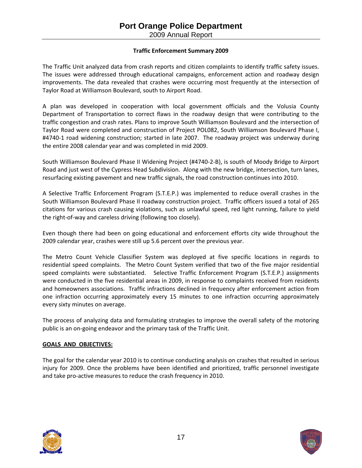#### **Traffic Enforcement Summary 2009**

The Traffic Unit analyzed data from crash reports and citizen complaints to identify traffic safety issues. The issues were addressed through educational campaigns, enforcement action and roadway design improvements. The data revealed that crashes were occurring most frequently at the intersection of Taylor Road at Williamson Boulevard, south to Airport Road.

A plan was developed in cooperation with local government officials and the Volusia County Department of Transportation to correct flaws in the roadway design that were contributing to the traffic congestion and crash rates. Plans to improve South Williamson Boulevard and the intersection of Taylor Road were completed and construction of Project POL082, South Williamson Boulevard Phase I, #4740-1 road widening construction; started in late 2007. The roadway project was underway during the entire 2008 calendar year and was completed in mid 2009.

South Williamson Boulevard Phase II Widening Project (#4740‐2‐B), is south of Moody Bridge to Airport Road and just west of the Cypress Head Subdivision. Along with the new bridge, intersection, turn lanes, resurfacing existing pavement and new traffic signals, the road construction continues into 2010.

A Selective Traffic Enforcement Program (S.T.E.P.) was implemented to reduce overall crashes in the South Williamson Boulevard Phase II roadway construction project. Traffic officers issued a total of 265 citations for various crash causing violations, such as unlawful speed, red light running, failure to yield the right‐of‐way and careless driving (following too closely).

Even though there had been on going educational and enforcement efforts city wide throughout the 2009 calendar year, crashes were still up 5.6 percent over the previous year.

The Metro Count Vehicle Classifier System was deployed at five specific locations in regards to residential speed complaints. The Metro Count System verified that two of the five major residential speed complaints were substantiated. Selective Traffic Enforcement Program (S.T.E.P.) assignments were conducted in the five residential areas in 2009, in response to complaints received from residents and homeowners associations. Traffic infractions declined in frequency after enforcement action from one infraction occurring approximately every 15 minutes to one infraction occurring approximately every sixty minutes on average.

The process of analyzing data and formulating strategies to improve the overall safety of the motoring public is an on‐going endeavor and the primary task of the Traffic Unit.

#### **GOALS AND OBJECTIVES:**

The goal for the calendar year 2010 is to continue conducting analysis on crashes that resulted in serious injury for 2009. Once the problems have been identified and prioritized, traffic personnel investigate and take pro‐active measures to reduce the crash frequency in 2010.



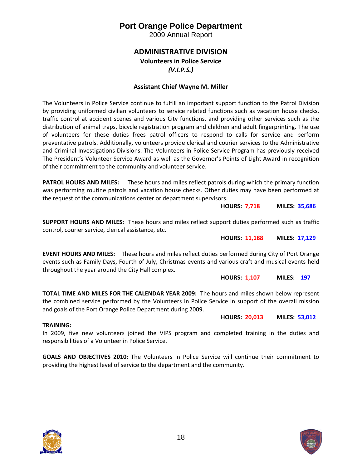## **ADMINISTRATIVE DIVISION Volunteers in Police Service**

*(V.I.P.S.)*

#### **Assistant Chief Wayne M. Miller**

The Volunteers in Police Service continue to fulfill an important support function to the Patrol Division by providing uniformed civilian volunteers to service related functions such as vacation house checks, traffic control at accident scenes and various City functions, and providing other services such as the distribution of animal traps, bicycle registration program and children and adult fingerprinting. The use of volunteers for these duties frees patrol officers to respond to calls for service and perform preventative patrols. Additionally, volunteers provide clerical and courier services to the Administrative and Criminal Investigations Divisions. The Volunteers in Police Service Program has previously received The President's Volunteer Service Award as well as the Governor's Points of Light Award in recognition of their commitment to the community and volunteer service.

**PATROL HOURS AND MILES:** These hours and miles reflect patrols during which the primary function was performing routine patrols and vacation house checks. Other duties may have been performed at the request of the communications center or department supervisors.

 **HOURS: 7,718 MILES: 35,686**

**SUPPORT HOURS AND MILES:** These hours and miles reflect support duties performed such as traffic control, courier service, clerical assistance, etc.

 **HOURS: 11,188 MILES: 17,129**

**EVENT HOURS AND MILES:** These hours and miles reflect duties performed during City of Port Orange events such as Family Days, Fourth of July, Christmas events and various craft and musical events held throughout the year around the City Hall complex.

 **HOURS: 1,107 MILES: 197**

**TOTAL TIME AND MILES FOR THE CALENDAR YEAR 2009:** The hours and miles shown below represent the combined service performed by the Volunteers in Police Service in support of the overall mission and goals of the Port Orange Police Department during 2009.

 **HOURS: 20,013 MILES: 53,012**

#### **TRAINING:**

In 2009, five new volunteers joined the VIPS program and completed training in the duties and responsibilities of a Volunteer in Police Service.

**GOALS AND OBJECTIVES 2010:** The Volunteers in Police Service will continue their commitment to providing the highest level of service to the department and the community.



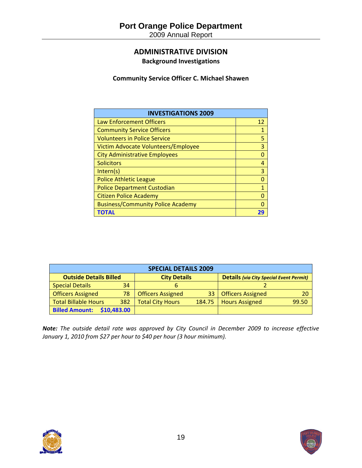### **ADMINISTRATIVE DIVISION Background Investigations**

**Community Service Officer C. Michael Shawen**

| <b>INVESTIGATIONS 2009</b>               |              |  |  |  |
|------------------------------------------|--------------|--|--|--|
| Law Enforcement Officers                 | 12           |  |  |  |
| <b>Community Service Officers</b>        | $\mathbf 1$  |  |  |  |
| <b>Volunteers in Police Service</b>      | 5            |  |  |  |
| Victim Advocate Volunteers/Employee      | 3            |  |  |  |
| <b>City Administrative Employees</b>     | 0            |  |  |  |
| <b>Solicitors</b>                        | 4            |  |  |  |
| Intern(s)                                | 3            |  |  |  |
| <b>Police Athletic League</b>            | 0            |  |  |  |
| <b>Police Department Custodian</b>       | $\mathbf{1}$ |  |  |  |
| <b>Citizen Police Academy</b>            | ი            |  |  |  |
| <b>Business/Community Police Academy</b> | n            |  |  |  |
|                                          |              |  |  |  |

| <b>SPECIAL DETAILS 2009</b>                                                                            |     |                          |        |                       |       |  |  |
|--------------------------------------------------------------------------------------------------------|-----|--------------------------|--------|-----------------------|-------|--|--|
| <b>Outside Details Billed</b><br><b>City Details</b><br><b>Details (via City Special Event Permit)</b> |     |                          |        |                       |       |  |  |
| <b>Special Details</b>                                                                                 | 34  | b                        |        |                       |       |  |  |
| <b>Officers Assigned</b>                                                                               | 78  | <b>Officers Assigned</b> | 33     | Officers Assigned     | 20    |  |  |
| <b>Total Billable Hours</b>                                                                            | 382 | <b>Total City Hours</b>  | 184.75 | <b>Hours Assigned</b> | 99.50 |  |  |
| \$10,483.00<br><b>Billed Amount:</b>                                                                   |     |                          |        |                       |       |  |  |

*Note: The outside detail rate was approved by City Council in December 2009 to increase effective January 1, 2010 from \$27 per hour to \$40 per hour (3 hour minimum).* 



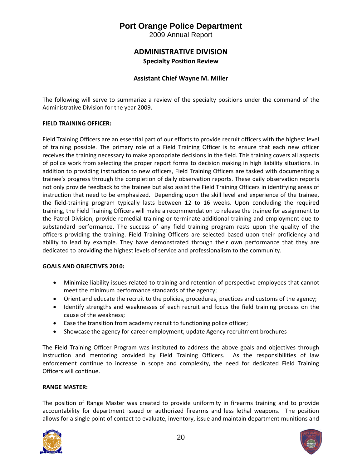#### **ADMINISTRATIVE DIVISION Specialty Position Review**

#### **Assistant Chief Wayne M. Miller**

The following will serve to summarize a review of the specialty positions under the command of the Administrative Division for the year 2009.

#### **FIELD TRAINING OFFICER:**

Field Training Officers are an essential part of our efforts to provide recruit officers with the highest level of training possible. The primary role of a Field Training Officer is to ensure that each new officer receives the training necessary to make appropriate decisions in the field. This training covers all aspects of police work from selecting the proper report forms to decision making in high liability situations. In addition to providing instruction to new officers, Field Training Officers are tasked with documenting a trainee's progress through the completion of daily observation reports. These daily observation reports not only provide feedback to the trainee but also assist the Field Training Officers in identifying areas of instruction that need to be emphasized. Depending upon the skill level and experience of the trainee, the field-training program typically lasts between 12 to 16 weeks. Upon concluding the required training, the Field Training Officers will make a recommendation to release the trainee for assignment to the Patrol Division, provide remedial training or terminate additional training and employment due to substandard performance. The success of any field training program rests upon the quality of the officers providing the training. Field Training Officers are selected based upon their proficiency and ability to lead by example. They have demonstrated through their own performance that they are dedicated to providing the highest levels of service and professionalism to the community.

#### **GOALS AND OBJECTIVES 2010:**

- Minimize liability issues related to training and retention of perspective employees that cannot meet the minimum performance standards of the agency;
- Orient and educate the recruit to the policies, procedures, practices and customs of the agency;
- Identify strengths and weaknesses of each recruit and focus the field training process on the cause of the weakness;
- Ease the transition from academy recruit to functioning police officer;
- Showcase the agency for career employment; update Agency recruitment brochures

The Field Training Officer Program was instituted to address the above goals and objectives through instruction and mentoring provided by Field Training Officers. As the responsibilities of law enforcement continue to increase in scope and complexity, the need for dedicated Field Training Officers will continue.

#### **RANGE MASTER:**

The position of Range Master was created to provide uniformity in firearms training and to provide accountability for department issued or authorized firearms and less lethal weapons. The position allows for a single point of contact to evaluate, inventory, issue and maintain department munitions and

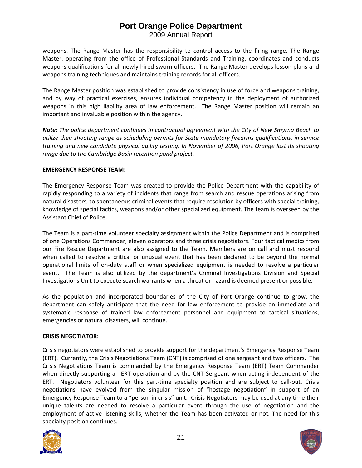weapons. The Range Master has the responsibility to control access to the firing range. The Range Master, operating from the office of Professional Standards and Training, coordinates and conducts weapons qualifications for all newly hired sworn officers. The Range Master develops lesson plans and weapons training techniques and maintains training records for all officers.

The Range Master position was established to provide consistency in use of force and weapons training, and by way of practical exercises, ensures individual competency in the deployment of authorized weapons in this high liability area of law enforcement. The Range Master position will remain an important and invaluable position within the agency.

*Note: The police department continues in contractual agreement with the City of New Smyrna Beach to utilize their shooting range as scheduling permits for State mandatory firearms qualifications, in service training and new candidate physical agility testing. In November of 2006, Port Orange lost its shooting range due to the Cambridge Basin retention pond project.* 

#### **EMERGENCY RESPONSE TEAM:**

The Emergency Response Team was created to provide the Police Department with the capability of rapidly responding to a variety of incidents that range from search and rescue operations arising from natural disasters, to spontaneous criminal events that require resolution by officers with special training, knowledge of special tactics, weapons and/or other specialized equipment. The team is overseen by the Assistant Chief of Police.

The Team is a part-time volunteer specialty assignment within the Police Department and is comprised of one Operations Commander, eleven operators and three crisis negotiators. Four tactical medics from our Fire Rescue Department are also assigned to the Team. Members are on call and must respond when called to resolve a critical or unusual event that has been declared to be beyond the normal operational limits of on‐duty staff or when specialized equipment is needed to resolve a particular event. The Team is also utilized by the department's Criminal Investigations Division and Special Investigations Unit to execute search warrants when a threat or hazard is deemed present or possible.

As the population and incorporated boundaries of the City of Port Orange continue to grow, the department can safely anticipate that the need for law enforcement to provide an immediate and systematic response of trained law enforcement personnel and equipment to tactical situations, emergencies or natural disasters, will continue.

#### **CRISIS NEGOTIATOR:**

Crisis negotiators were established to provide support for the department's Emergency Response Team (ERT). Currently, the Crisis Negotiations Team (CNT) is comprised of one sergeant and two officers. The Crisis Negotiations Team is commanded by the Emergency Response Team (ERT) Team Commander when directly supporting an ERT operation and by the CNT Sergeant when acting independent of the ERT. Negotiators volunteer for this part-time specialty position and are subject to call-out. Crisis negotiations have evolved from the singular mission of "hostage negotiation" in support of an Emergency Response Team to a "person in crisis" unit. Crisis Negotiators may be used at any time their unique talents are needed to resolve a particular event through the use of negotiation and the employment of active listening skills, whether the Team has been activated or not. The need for this specialty position continues.



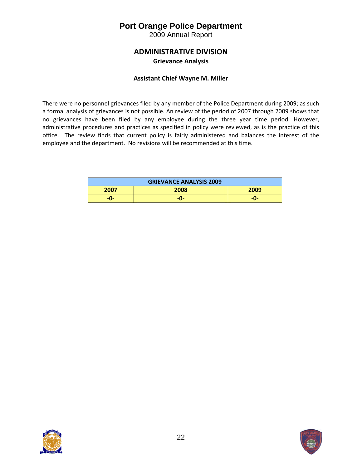## **Port Orange Police Department**  2009 Annual Report

**ADMINISTRATIVE DIVISION Grievance Analysis**

#### **Assistant Chief Wayne M. Miller**

There were no personnel grievances filed by any member of the Police Department during 2009; as such a formal analysis of grievances is not possible. An review of the period of 2007 through 2009 shows that no grievances have been filed by any employee during the three year time period. However, administrative procedures and practices as specified in policy were reviewed, as is the practice of this office. The review finds that current policy is fairly administered and balances the interest of the employee and the department. No revisions will be recommended at this time.

| <b>GRIEVANCE ANALYSIS 2009</b> |     |     |  |  |  |
|--------------------------------|-----|-----|--|--|--|
| 2008<br>2007<br>2009           |     |     |  |  |  |
| -0-                            | -0- | -0- |  |  |  |



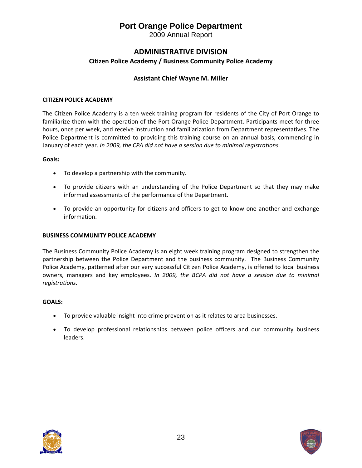2009 Annual Report

## **ADMINISTRATIVE DIVISION Citizen Police Academy / Business Community Police Academy**

#### **Assistant Chief Wayne M. Miller**

#### **CITIZEN POLICE ACADEMY**

The Citizen Police Academy is a ten week training program for residents of the City of Port Orange to familiarize them with the operation of the Port Orange Police Department. Participants meet for three hours, once per week, and receive instruction and familiarization from Department representatives. The Police Department is committed to providing this training course on an annual basis, commencing in January of each year. *In 2009, the CPA did not have a session due to minimal registrations.*

#### **Goals:**

- To develop a partnership with the community.
- To provide citizens with an understanding of the Police Department so that they may make informed assessments of the performance of the Department.
- To provide an opportunity for citizens and officers to get to know one another and exchange information.

#### **BUSINESS COMMUNITY POLICE ACADEMY**

The Business Community Police Academy is an eight week training program designed to strengthen the partnership between the Police Department and the business community. The Business Community Police Academy, patterned after our very successful Citizen Police Academy, is offered to local business owners, managers and key employees. *In 2009, the BCPA did not have a session due to minimal registrations.*

#### **GOALS:**

- To provide valuable insight into crime prevention as it relates to area businesses.
- To develop professional relationships between police officers and our community business leaders.



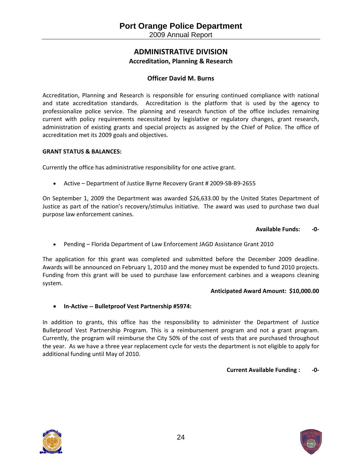#### **ADMINISTRATIVE DIVISION Accreditation, Planning & Research**

#### **Officer David M. Burns**

Accreditation, Planning and Research is responsible for ensuring continued compliance with national and state accreditation standards. Accreditation is the platform that is used by the agency to professionalize police service. The planning and research function of the office includes remaining current with policy requirements necessitated by legislative or regulatory changes, grant research, administration of existing grants and special projects as assigned by the Chief of Police. The office of accreditation met its 2009 goals and objectives.

#### **GRANT STATUS & BALANCES:**

Currently the office has administrative responsibility for one active grant.

Active – Department of Justice Byrne Recovery Grant # 2009‐SB‐B9‐2655

On September 1, 2009 the Department was awarded \$26,633.00 by the United States Department of Justice as part of the nation's recovery/stimulus initiative. The award was used to purchase two dual purpose law enforcement canines.

#### **Available Funds: ‐0‐**

Pending – Florida Department of Law Enforcement JAGD Assistance Grant 2010

The application for this grant was completed and submitted before the December 2009 deadline. Awards will be announced on February 1, 2010 and the money must be expended to fund 2010 projects. Funding from this grant will be used to purchase law enforcement carbines and a weapons cleaning system.

#### **Anticipated Award Amount: \$10,000.00**

#### **In‐Active ‐‐ Bulletproof Vest Partnership #5974:**

In addition to grants, this office has the responsibility to administer the Department of Justice Bulletproof Vest Partnership Program. This is a reimbursement program and not a grant program. Currently, the program will reimburse the City 50% of the cost of vests that are purchased throughout the year. As we have a three year replacement cycle for vests the department is not eligible to apply for additional funding until May of 2010.

#### **Current Available Funding : ‐0‐**



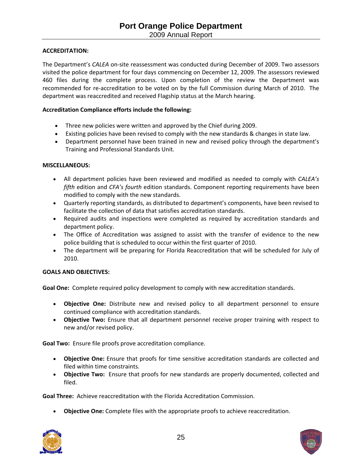#### **ACCREDITATION:**

The Department's *CALEA* on‐site reassessment was conducted during December of 2009. Two assessors visited the police department for four days commencing on December 12, 2009. The assessors reviewed 460 files during the complete process. Upon completion of the review the Department was recommended for re‐accreditation to be voted on by the full Commission during March of 2010. The department was reaccredited and received Flagship status at the March hearing.

#### **Accreditation Compliance efforts include the following:**

- Three new policies were written and approved by the Chief during 2009.
- Existing policies have been revised to comply with the new standards & changes in state law.
- Department personnel have been trained in new and revised policy through the department's Training and Professional Standards Unit.

#### **MISCELLANEOUS:**

- All department policies have been reviewed and modified as needed to comply with *CALEA's fifth* edition and *CFA's fourth* edition standards. Component reporting requirements have been modified to comply with the new standards.
- Quarterly reporting standards, as distributed to department's components, have been revised to facilitate the collection of data that satisfies accreditation standards.
- Required audits and inspections were completed as required by accreditation standards and department policy.
- The Office of Accreditation was assigned to assist with the transfer of evidence to the new police building that is scheduled to occur within the first quarter of 2010.
- The department will be preparing for Florida Reaccreditation that will be scheduled for July of 2010.

#### **GOALS AND OBJECTIVES:**

**Goal One:** Complete required policy development to comply with new accreditation standards.

- **Objective One:** Distribute new and revised policy to all department personnel to ensure continued compliance with accreditation standards.
- **Objective Two:** Ensure that all department personnel receive proper training with respect to new and/or revised policy.

**Goal Two:** Ensure file proofs prove accreditation compliance.

- **Objective One:** Ensure that proofs for time sensitive accreditation standards are collected and filed within time constraints.
- **Objective Two:** Ensure that proofs for new standards are properly documented, collected and filed.

**Goal Three:** Achieve reaccreditation with the Florida Accreditation Commission.

**Objective One:** Complete files with the appropriate proofs to achieve reaccreditation.



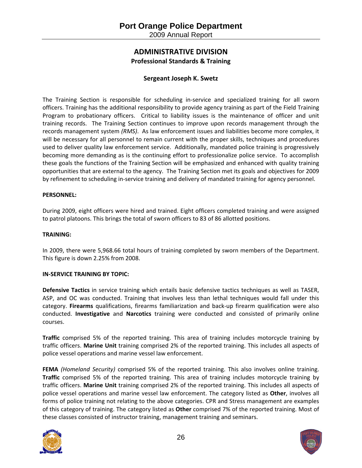2009 Annual Report

#### **ADMINISTRATIVE DIVISION Professional Standards & Training**

#### **Sergeant Joseph K. Swetz**

The Training Section is responsible for scheduling in‐service and specialized training for all sworn officers. Training has the additional responsibility to provide agency training as part of the Field Training Program to probationary officers. Critical to liability issues is the maintenance of officer and unit training records. The Training Section continues to improve upon records management through the records management system *(RMS)*. As law enforcement issues and liabilities become more complex, it will be necessary for all personnel to remain current with the proper skills, techniques and procedures used to deliver quality law enforcement service. Additionally, mandated police training is progressively becoming more demanding as is the continuing effort to professionalize police service. To accomplish these goals the functions of the Training Section will be emphasized and enhanced with quality training opportunities that are external to the agency. The Training Section met its goals and objectives for 2009 by refinement to scheduling in‐service training and delivery of mandated training for agency personnel.

#### **PERSONNEL:**

During 2009, eight officers were hired and trained. Eight officers completed training and were assigned to patrol platoons. This brings the total of sworn officers to 83 of 86 allotted positions.

#### **TRAINING:**

In 2009, there were 5,968.66 total hours of training completed by sworn members of the Department. This figure is down 2.25% from 2008.

#### **IN‐SERVICE TRAINING BY TOPIC:**

**Defensive Tactics** in service training which entails basic defensive tactics techniques as well as TASER, ASP, and OC was conducted. Training that involves less than lethal techniques would fall under this category. **Firearms** qualifications, firearms familiarization and back‐up firearm qualification were also conducted. **Investigative** and **Narcotics** training were conducted and consisted of primarily online courses.

**Traffic** comprised 5% of the reported training. This area of training includes motorcycle training by traffic officers. **Marine Unit** training comprised 2% of the reported training. This includes all aspects of police vessel operations and marine vessel law enforcement.

**FEMA** *(Homeland Security)* comprised 5% of the reported training. This also involves online training. **Traffic** comprised 5% of the reported training. This area of training includes motorcycle training by traffic officers. **Marine Unit** training comprised 2% of the reported training. This includes all aspects of police vessel operations and marine vessel law enforcement. The category listed as **Other**, involves all forms of police training not relating to the above categories. CPR and Stress management are examples of this category of training. The category listed as **Other** comprised 7% of the reported training. Most of these classes consisted of instructor training, management training and seminars.



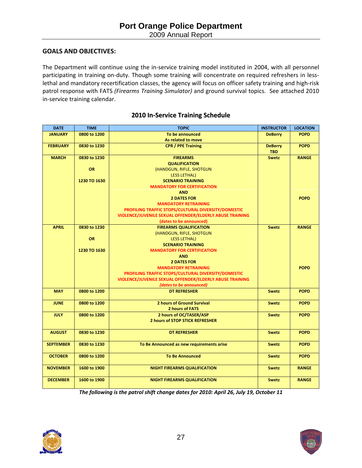#### **GOALS AND OBJECTIVES:**

The Department will continue using the in‐service training model instituted in 2004, with all personnel participating in training on-duty. Though some training will concentrate on required refreshers in lesslethal and mandatory recertification classes, the agency will focus on officer safety training and high‐risk patrol response with FATS *(Firearms Training Simulator)* and ground survival topics. See attached 2010 in‐service training calendar.

| <b>DATE</b>      | <b>TIME</b>  | <b>TOPIC</b>                                             | <b>INSTRUCTOR</b> | <b>LOCATION</b> |
|------------------|--------------|----------------------------------------------------------|-------------------|-----------------|
| <b>JANUARY</b>   | 0800 to 1200 | To be announced                                          | <b>DeBerry</b>    | <b>POPD</b>     |
|                  |              | As related to move                                       |                   |                 |
| <b>FEBRUARY</b>  | 0830 to 1230 | <b>CPR / PPE Training</b>                                | <b>DeBerry</b>    | <b>POPD</b>     |
|                  |              |                                                          | <b>TBD</b>        |                 |
| <b>MARCH</b>     | 0830 to 1230 | <b>FIREARMS</b>                                          | <b>Swetz</b>      | <b>RANGE</b>    |
|                  |              | <b>QUALIFICATION</b>                                     |                   |                 |
|                  | <b>OR</b>    | (HANDGUN, RIFLE, SHOTGUN                                 |                   |                 |
|                  |              | <b>LESS LETHAL</b> )                                     |                   |                 |
|                  | 1230 TO 1630 | <b>SCENARIO TRAINING</b>                                 |                   |                 |
|                  |              | <b>MANDATORY FOR CERTIFICATION</b>                       |                   |                 |
|                  |              | <b>AND</b>                                               |                   |                 |
|                  |              | <b>2 DATES FOR</b>                                       |                   | <b>POPD</b>     |
|                  |              | <b>MANDATORY RETRAINING</b>                              |                   |                 |
|                  |              | PROFILING TRAFFIC STOPS/CULTURAL DIVERSITY/DOMESTIC      |                   |                 |
|                  |              | VIOLENCE/JUVENILE SEXUAL OFFENDER/ELDERLY ABUSE TRAINING |                   |                 |
|                  |              | (dates to be announced)                                  |                   |                 |
| <b>APRIL</b>     | 0830 to 1230 | <b>FIREARMS QUALIFICATION</b>                            | <b>Swetz</b>      | <b>RANGE</b>    |
|                  |              | (HANDGUN, RIFLE, SHOTGUN                                 |                   |                 |
|                  | <b>OR</b>    | <b>LESS LETHAL)</b>                                      |                   |                 |
|                  |              | <b>SCENARIO TRAINING</b>                                 |                   |                 |
|                  | 1230 TO 1630 | <b>MANDATORY FOR CERTIFICATION</b>                       |                   |                 |
|                  |              | <b>AND</b>                                               |                   |                 |
|                  |              | <b>2 DATES FOR</b>                                       |                   |                 |
|                  |              | <b>MANDATORY RETRAINING</b>                              |                   | <b>POPD</b>     |
|                  |              | PROFILING TRAFFIC STOPS/CULTURAL DIVERSITY/DOMESTIC      |                   |                 |
|                  |              | VIOLENCE/JUVENILE SEXUAL OFFENDER/ELDERLY ABUSE TRAINING |                   |                 |
|                  |              | (dates to be announced)                                  |                   |                 |
| <b>MAY</b>       | 0800 to 1200 | <b>DT REFRESHER</b>                                      | <b>Swetz</b>      | <b>POPD</b>     |
|                  |              |                                                          |                   |                 |
| <b>JUNE</b>      | 0800 to 1200 | <b>2 hours of Ground Survival</b>                        | <b>Swetz</b>      | <b>POPD</b>     |
|                  |              | 2 hours of FATS                                          |                   |                 |
| <b>JULY</b>      | 0800 to 1200 | 2 hours of OC/TASER/ASP                                  | <b>Swetz</b>      | <b>POPD</b>     |
|                  |              | <b>2 hours of STOP STICK REFRESHER</b>                   |                   |                 |
|                  |              |                                                          |                   |                 |
| <b>AUGUST</b>    | 0830 to 1230 | <b>DT REFRESHER</b>                                      | <b>Swetz</b>      | <b>POPD</b>     |
|                  |              |                                                          |                   |                 |
| <b>SEPTEMBER</b> | 0830 to 1230 | To Be Announced as new requirements arise                | <b>Swetz</b>      | <b>POPD</b>     |
|                  |              |                                                          |                   |                 |
| <b>OCTOBER</b>   | 0800 to 1200 | <b>To Be Announced</b>                                   | <b>Swetz</b>      | <b>POPD</b>     |
|                  |              |                                                          |                   |                 |
| <b>NOVEMBER</b>  | 1600 to 1900 | <b>NIGHT FIREARMS QUALIFICATION</b>                      | <b>Swetz</b>      | <b>RANGE</b>    |
|                  |              |                                                          |                   |                 |
| <b>DECEMBER</b>  | 1600 to 1900 | <b>NIGHT FIREARMS QUALIFICATION</b>                      | <b>Swetz</b>      | <b>RANGE</b>    |
|                  |              |                                                          |                   |                 |

#### **2010 In‐Service Training Schedule**

*The following is the patrol shift change dates for 2010: April 26, July 19, October 11*



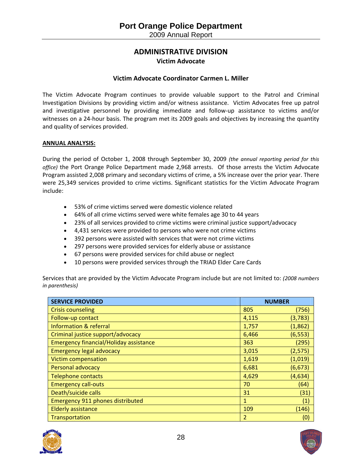### **ADMINISTRATIVE DIVISION Victim Advocate**

#### **Victim Advocate Coordinator Carmen L. Miller**

The Victim Advocate Program continues to provide valuable support to the Patrol and Criminal Investigation Divisions by providing victim and/or witness assistance. Victim Advocates free up patrol and investigative personnel by providing immediate and follow‐up assistance to victims and/or witnesses on a 24-hour basis. The program met its 2009 goals and objectives by increasing the quantity and quality of services provided.

#### **ANNUAL ANALYSIS:**

During the period of October 1, 2008 through September 30, 2009 *(the annual reporting period for this office)* the Port Orange Police Department made 2,968 arrests. Of those arrests the Victim Advocate Program assisted 2,008 primary and secondary victims of crime, a 5% increase over the prior year. There were 25,349 services provided to crime victims. Significant statistics for the Victim Advocate Program include:

- 53% of crime victims served were domestic violence related
- 64% of all crime victims served were white females age 30 to 44 years
- 23% of all services provided to crime victims were criminal justice support/advocacy
- 4,431 services were provided to persons who were not crime victims
- 392 persons were assisted with services that were not crime victims
- 297 persons were provided services for elderly abuse or assistance
- 67 persons were provided services for child abuse or neglect
- 10 persons were provided services through the TRIAD Elder Care Cards

Services that are provided by the Victim Advocate Program include but are not limited to: *(2008 numbers in parenthesis)*

| <b>SERVICE PROVIDED</b>                       | <b>NUMBER</b>  |          |
|-----------------------------------------------|----------------|----------|
| <b>Crisis counseling</b>                      | 805            | (756)    |
| Follow-up contact                             | 4,115          | (3,783)  |
| <b>Information &amp; referral</b>             | 1,757          | (1,862)  |
| Criminal justice support/advocacy             | 6,466          | (6, 553) |
| <b>Emergency financial/Holiday assistance</b> | 363            | (295)    |
| <b>Emergency legal advocacy</b>               | 3,015          | (2, 575) |
| <b>Victim compensation</b>                    | 1,619          | (1,019)  |
| Personal advocacy                             | 6,681          | (6, 673) |
| <b>Telephone contacts</b>                     | 4,629          | (4, 634) |
| <b>Emergency call-outs</b>                    | 70             | (64)     |
| Death/suicide calls                           | 31             | (31)     |
| <b>Emergency 911 phones distributed</b>       | 1              | (1)      |
| <b>Elderly assistance</b>                     | 109            | (146)    |
| Transportation                                | $\overline{2}$ | (0)      |



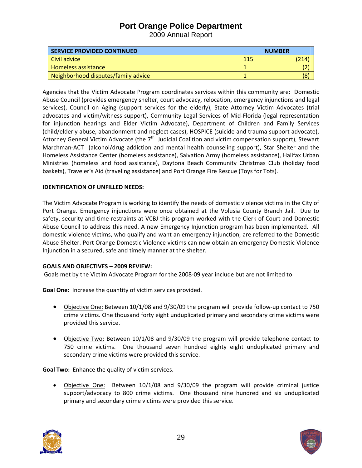## **Port Orange Police Department**

2009 Annual Report

| <b>SERVICE PROVIDED CONTINUED</b>   |     | <b>NUMBER</b> |  |
|-------------------------------------|-----|---------------|--|
| Civil advice                        | 115 | (214)         |  |
| Homeless assistance                 |     |               |  |
| Neighborhood disputes/family advice |     | (8)           |  |

Agencies that the Victim Advocate Program coordinates services within this community are: Domestic Abuse Council (provides emergency shelter, court advocacy, relocation, emergency injunctions and legal services), Council on Aging (support services for the elderly), State Attorney Victim Advocates (trial advocates and victim/witness support), Community Legal Services of Mid‐Florida (legal representation for injunction hearings and Elder Victim Advocate), Department of Children and Family Services (child/elderly abuse, abandonment and neglect cases), HOSPICE (suicide and trauma support advocate), Attorney General Victim Advocate (the  $7<sup>th</sup>$  Judicial Coalition and victim compensation support), Stewart Marchman-ACT (alcohol/drug addiction and mental health counseling support), Star Shelter and the Homeless Assistance Center (homeless assistance), Salvation Army (homeless assistance), Halifax Urban Ministries (homeless and food assistance), Daytona Beach Community Christmas Club (holiday food baskets), Traveler's Aid (traveling assistance) and Port Orange Fire Rescue (Toys for Tots).

#### **IDENTIFICATION OF UNFILLED NEEDS:**

The Victim Advocate Program is working to identify the needs of domestic violence victims in the City of Port Orange. Emergency injunctions were once obtained at the Volusia County Branch Jail. Due to safety, security and time restraints at VCBJ this program worked with the Clerk of Court and Domestic Abuse Council to address this need. A new Emergency Injunction program has been implemented. All domestic violence victims, who qualify and want an emergency injunction, are referred to the Domestic Abuse Shelter. Port Orange Domestic Violence victims can now obtain an emergency Domestic Violence Injunction in a secured, safe and timely manner at the shelter.

#### **GOALS AND OBJECTIVES – 2009 REVIEW:**

Goals met by the Victim Advocate Program for the 2008‐09 year include but are not limited to:

**Goal One:** Increase the quantity of victim services provided.

- Objective One: Between 10/1/08 and 9/30/09 the program will provide follow‐up contact to 750 crime victims. One thousand forty eight unduplicated primary and secondary crime victims were provided this service.
- Objective Two: Between 10/1/08 and 9/30/09 the program will provide telephone contact to 750 crime victims. One thousand seven hundred eighty eight unduplicated primary and secondary crime victims were provided this service.

**Goal Two:** Enhance the quality of victim services.

 Objective One: Between 10/1/08 and 9/30/09 the program will provide criminal justice support/advocacy to 800 crime victims. One thousand nine hundred and six unduplicated primary and secondary crime victims were provided this service.



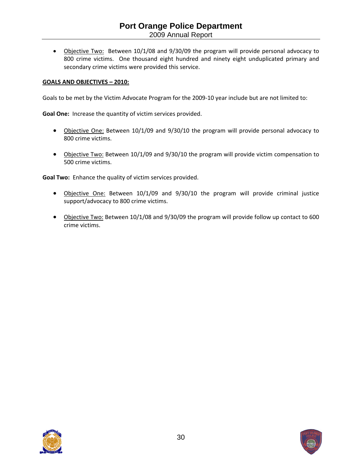• Objective Two: Between 10/1/08 and 9/30/09 the program will provide personal advocacy to 800 crime victims. One thousand eight hundred and ninety eight unduplicated primary and secondary crime victims were provided this service.

#### **GOALS AND OBJECTIVES – 2010:**

Goals to be met by the Victim Advocate Program for the 2009‐10 year include but are not limited to:

**Goal One:** Increase the quantity of victim services provided.

- Objective One: Between 10/1/09 and 9/30/10 the program will provide personal advocacy to 800 crime victims.
- Objective Two: Between 10/1/09 and 9/30/10 the program will provide victim compensation to 500 crime victims.

**Goal Two:** Enhance the quality of victim services provided.

- Objective One: Between 10/1/09 and 9/30/10 the program will provide criminal justice support/advocacy to 800 crime victims.
- Objective Two: Between 10/1/08 and 9/30/09 the program will provide follow up contact to 600 crime victims.



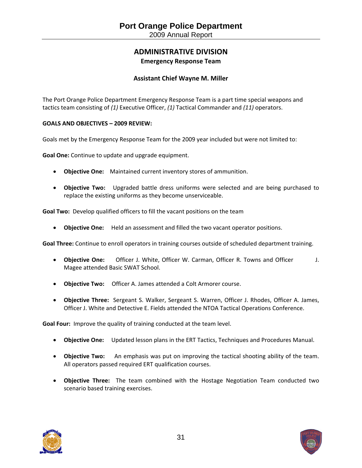#### **ADMINISTRATIVE DIVISION Emergency Response Team**

#### **Assistant Chief Wayne M. Miller**

The Port Orange Police Department Emergency Response Team is a part time special weapons and tactics team consisting of *(1)* Executive Officer, *(1)* Tactical Commander and *(11)* operators.

#### **GOALS AND OBJECTIVES – 2009 REVIEW:**

Goals met by the Emergency Response Team for the 2009 year included but were not limited to:

**Goal One:** Continue to update and upgrade equipment.

- **Objective One:** Maintained current inventory stores of ammunition.
- **Objective Two:** Upgraded battle dress uniforms were selected and are being purchased to replace the existing uniforms as they become unserviceable.

**Goal Two:** Develop qualified officers to fill the vacant positions on the team

**Objective One:** Held an assessment and filled the two vacant operator positions.

**Goal Three:** Continue to enroll operators in training courses outside of scheduled department training.

- **Objective One:** Officer J. White, Officer W. Carman, Officer R. Towns and Officer J. Magee attended Basic SWAT School.
- **Objective Two:** Officer A. James attended a Colt Armorer course.
- **Objective Three:** Sergeant S. Walker, Sergeant S. Warren, Officer J. Rhodes, Officer A. James, Officer J. White and Detective E. Fields attended the NTOA Tactical Operations Conference.

**Goal Four:** Improve the quality of training conducted at the team level.

- **Objective One:** Updated lesson plans in the ERT Tactics, Techniques and Procedures Manual.
- **Objective Two:** An emphasis was put on improving the tactical shooting ability of the team. All operators passed required ERT qualification courses.
- **Objective Three:** The team combined with the Hostage Negotiation Team conducted two scenario based training exercises.



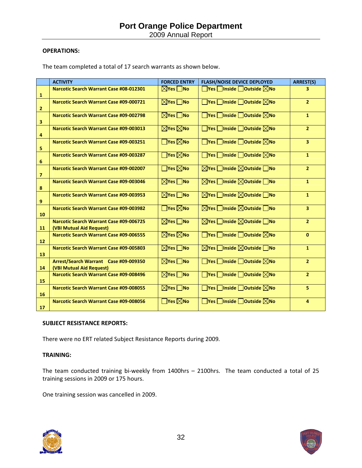2009 Annual Report

#### **OPERATIONS:**

The team completed a total of 17 search warrants as shown below.

|                         | <b>ACTIVITY</b>                                                     | <b>FORCED ENTRY</b>                                                    | <b>FLASH/NOISE DEVICE DEPLOYED</b>                                                                        | <b>ARREST(S)</b>        |
|-------------------------|---------------------------------------------------------------------|------------------------------------------------------------------------|-----------------------------------------------------------------------------------------------------------|-------------------------|
| $\mathbf{1}$            | <b>Narcotic Search Warrant Case #08-012301</b>                      | $\boxtimes$ Yes $\Box$ No                                              | $\Box$ Yes $\Box$ Inside $\Box$ Outside $\boxtimes$ No                                                    | 3                       |
| $\overline{2}$          | Narcotic Search Warrant Case #09-000721                             | $\boxed{\bigtimes}$ Yes $\boxed{\bigcap}$ No                           | $\Box$ Yes $\Box$ Inside $\Box$ Outside $\boxtimes$ No                                                    | 2 <sup>2</sup>          |
| $\overline{\mathbf{3}}$ | <b>Narcotic Search Warrant Case #09-002798</b>                      | $\boxtimes$ Yes $\Box$ No                                              | $\Box$ Yes $\Box$ Inside $\Box$ Outside $\boxtimes$ No                                                    | $\mathbf{1}$            |
| 4                       | <b>Narcotic Search Warrant Case #09-003013</b>                      | $\boxtimes$ Yes $\boxtimes$ No                                         | $\Box$ Yes $\Box$ Inside $\Box$ Outside $\boxtimes$ No                                                    | $\overline{2}$          |
| 5                       | Narcotic Search Warrant Case #09-003251                             | $\overline{\mathsf{\neg} }$ Yes $\overline{\boxtimes}$ No              | Nes inside Outside XNo                                                                                    | $\overline{\mathbf{3}}$ |
| 6                       | Narcotic Search Warrant Case #09-003287                             | $\overline{\mathsf{Y}}$ es $\overline{\boxtimes}$ No                   | $\Box$ Yes $\Box$ Inside $\Box$ Outside $\boxtimes$ No                                                    | $\mathbf{1}$            |
| $\overline{7}$          | <b>Narcotic Search Warrant Case #09-002007</b>                      | $\overline{\mathsf{\neg} }$ Yes $\overline{\boxtimes}$ No              | $\sqrt{\frac{1}{1}}$ Yes $\sqrt{\frac{1}{1}}$ Inside $\sqrt{\frac{1}{1}}$ Outside $\sqrt{\frac{1}{1}}$ No | $\overline{2}$          |
| 8                       | Narcotic Search Warrant Case #09-003046                             | $\sqrt{Y}$ Yes $\Box$ No                                               | $\sqrt{\frac{1}{1}}$ Yes $\sqrt{\frac{1}{1}}$ Inside $\sqrt{\frac{1}{1}}$ Outside $\sqrt{\frac{1}{1}}$ No | $\mathbf{1}$            |
| 9 <sup>°</sup>          | <b>Narcotic Search Warrant Case #09-003953</b>                      | $\boxtimes$ Yes $\Box$ No                                              | <b>NYes</b> Inside <b>Noutside</b> INo                                                                    | $\mathbf{1}$            |
| 10 <sub>1</sub>         | Narcotic Search Warrant Case #09-003982                             | $\overline{\mathsf{\neg \, \mathsf{Yes}\, \boxtimes \mathsf{No}\, } }$ | <b>NYes</b> Inside <b>Noutside</b> INo                                                                    | $\overline{\mathbf{3}}$ |
| 11                      | Narcotic Search Warrant Case #09-006725<br>(VBI Mutual Aid Request) | $\sqrt{N}$ Yes $\sqrt{N}$ No                                           | $\sqrt{\frac{1}{1}}$ Yes $\sqrt{\frac{1}{1}}$ Inside $\sqrt{\frac{1}{1}}$ Outside $\sqrt{\frac{1}{1}}$ No | 2 <sup>2</sup>          |
| 12 <sup>7</sup>         | <b>Narcotic Search Warrant Case #09-006555</b>                      | $\boxtimes$ Yes $\boxtimes$ No                                         | $\Box$ Yes $\Box$ Inside $\Box$ Outside $\boxtimes$ No                                                    | $\mathbf{0}$            |
| 13 <sup>°</sup>         | Narcotic Search Warrant Case #09-005803                             | $\boxed{\boxtimes}$ Yes $\boxed{\textsf{No}}$                          | $\sqrt{\frac{1}{1}}$ Yes $\sqrt{\frac{1}{1}}$ Inside $\sqrt{\frac{1}{1}}$ Outside $\sqrt{\frac{1}{1}}$ No | $\mathbf{1}$            |
| 14                      | Arrest/Search Warrant Case #09-009350<br>(VBI Mutual Aid Request)   | $\boxtimes$ Yes $\Box$ No                                              | $\Box$ Yes $\Box$ Inside $\Box$ Outside $\boxtimes$ No                                                    | 2 <sup>1</sup>          |
| 15                      | <b>Narcotic Search Warrant Case #09-008496</b>                      | $\sqrt{N}$ Yes $\sqrt{N}$ No                                           | Nes ninside noutside XNo                                                                                  | $\overline{2}$          |
| 16                      | <b>Narcotic Search Warrant Case #09-008055</b>                      | $\boxed{\textsf{Y}}$ Yes $\boxed{\textsf{No}}$                         | $\Box$ Yes $\Box$ Inside $\Box$ Outside $\boxtimes$ No                                                    | 5                       |
| 17                      | Narcotic Search Warrant Case #09-008056                             | $\Box$ Yes $\boxtimes$ No                                              | Nes inside Outside XNo                                                                                    | 4                       |

#### **SUBJECT RESISTANCE REPORTS:**

There were no ERT related Subject Resistance Reports during 2009*.* 

#### **TRAINING:**

The team conducted training bi-weekly from 1400hrs – 2100hrs. The team conducted a total of 25 training sessions in 2009 or 175 hours.

One training session was cancelled in 2009.

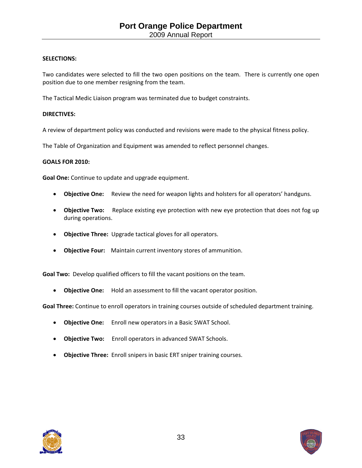#### **SELECTIONS:**

Two candidates were selected to fill the two open positions on the team. There is currently one open position due to one member resigning from the team.

The Tactical Medic Liaison program was terminated due to budget constraints.

#### **DIRECTIVES:**

A review of department policy was conducted and revisions were made to the physical fitness policy.

The Table of Organization and Equipment was amended to reflect personnel changes.

#### **GOALS FOR 2010:**

**Goal One:** Continue to update and upgrade equipment.

- **Objective One:** Review the need for weapon lights and holsters for all operators' handguns.
- **Objective Two:** Replace existing eye protection with new eye protection that does not fog up during operations.
- **Objective Three:** Upgrade tactical gloves for all operators.
- **Objective Four:** Maintain current inventory stores of ammunition.

Goal Two: Develop qualified officers to fill the vacant positions on the team.

**Objective One:** Hold an assessment to fill the vacant operator position.

**Goal Three:** Continue to enroll operators in training courses outside of scheduled department training.

- **Objective One:** Enroll new operators in a Basic SWAT School.
- **Objective Two:** Enroll operators in advanced SWAT Schools.
- **Objective Three:** Enroll snipers in basic ERT sniper training courses.

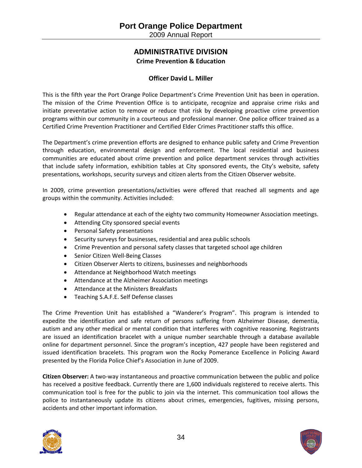## **ADMINISTRATIVE DIVISION Crime Prevention & Education**

#### **Officer David L. Miller**

This is the fifth year the Port Orange Police Department's Crime Prevention Unit has been in operation. The mission of the Crime Prevention Office is to anticipate, recognize and appraise crime risks and initiate preventative action to remove or reduce that risk by developing proactive crime prevention programs within our community in a courteous and professional manner. One police officer trained as a Certified Crime Prevention Practitioner and Certified Elder Crimes Practitioner staffs this office.

The Department's crime prevention efforts are designed to enhance public safety and Crime Prevention through education, environmental design and enforcement. The local residential and business communities are educated about crime prevention and police department services through activities that include safety information, exhibition tables at City sponsored events, the City's website, safety presentations, workshops, security surveys and citizen alerts from the Citizen Observer website.

In 2009, crime prevention presentations/activities were offered that reached all segments and age groups within the community. Activities included:

- Regular attendance at each of the eighty two community Homeowner Association meetings.
- Attending City sponsored special events
- Personal Safety presentations
- Security surveys for businesses, residential and area public schools
- Crime Prevention and personal safety classes that targeted school age children
- Senior Citizen Well-Being Classes
- Citizen Observer Alerts to citizens, businesses and neighborhoods
- Attendance at Neighborhood Watch meetings
- Attendance at the Alzheimer Association meetings
- Attendance at the Ministers Breakfasts
- Teaching S.A.F.E. Self Defense classes

The Crime Prevention Unit has established a "Wanderer's Program". This program is intended to expedite the identification and safe return of persons suffering from Alzheimer Disease, dementia, autism and any other medical or mental condition that interferes with cognitive reasoning. Registrants are issued an identification bracelet with a unique number searchable through a database available online for department personnel. Since the program's inception, 427 people have been registered and issued identification bracelets. This program won the Rocky Pomerance Excellence in Policing Award presented by the Florida Police Chief's Association in June of 2009.

**Citizen Observer:** A two‐way instantaneous and proactive communication between the public and police has received a positive feedback. Currently there are 1,600 individuals registered to receive alerts. This communication tool is free for the public to join via the internet. This communication tool allows the police to instantaneously update its citizens about crimes, emergencies, fugitives, missing persons, accidents and other important information.



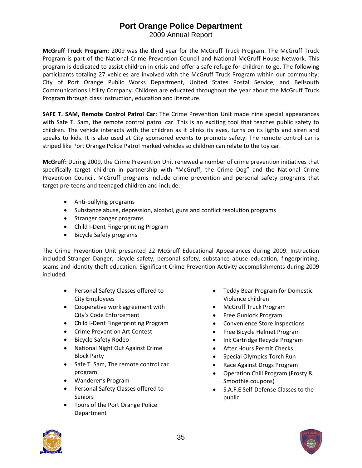**McGruff Truck Program**: 2009 was the third year for the McGruff Truck Program. The McGruff Truck Program is part of the National Crime Prevention Council and National McGruff House Network. This program is dedicated to assist children in crisis and offer a safe refuge for children to go. The following participants totaling 27 vehicles are involved with the McGruff Truck Program within our community: City of Port Orange Public Works Department, United States Postal Service, and Bellsouth Communications Utility Company. Children are educated throughout the year about the McGruff Truck Program through class instruction, education and literature.

**SAFE T. SAM, Remote Control Patrol Car:** The Crime Prevention Unit made nine special appearances with Safe T. Sam, the remote control patrol car. This is an exciting tool that teaches public safety to children. The vehicle interacts with the children as it blinks its eyes, turns on its lights and siren and speaks to kids. It is also used at City sponsored events to promote safety. The remote control car is striped like Port Orange Police Patrol marked vehicles so children can relate to the toy car.

**McGruff:** During 2009, the Crime Prevention Unit renewed a number of crime prevention initiatives that specifically target children in partnership with "McGruff, the Crime Dog" and the National Crime Prevention Council. McGruff programs include crime prevention and personal safety programs that target pre‐teens and teenaged children and include:

- Anti-bullying programs
- Substance abuse, depression, alcohol, guns and conflict resolution programs
- Stranger danger programs
- Child I-Dent Fingerprinting Program
- Bicycle Safety programs

The Crime Prevention Unit presented 22 McGruff Educational Appearances during 2009. Instruction included Stranger Danger, bicycle safety, personal safety, substance abuse education, fingerprinting, scams and identity theft education. Significant Crime Prevention Activity accomplishments during 2009 included:

- Personal Safety Classes offered to City Employees
- Cooperative work agreement with City's Code Enforcement
- Child I-Dent Fingerprinting Program
- Crime Prevention Art Contest
- **•** Bicycle Safety Rodeo
- National Night Out Against Crime Block Party
- Safe T. Sam, The remote control car program
- Wanderer's Program
- Personal Safety Classes offered to Seniors
- Tours of the Port Orange Police Department
- Teddy Bear Program for Domestic Violence children
- McGruff Truck Program
- Free Gunlock Program
- Convenience Store Inspections
- Free Bicycle Helmet Program
- Ink Cartridge Recycle Program
- After Hours Permit Checks
- Special Olympics Torch Run
- Race Against Drugs Program
- Operation Chill Program (Frosty & Smoothie coupons)
- S.A.F.E Self-Defense Classes to the public



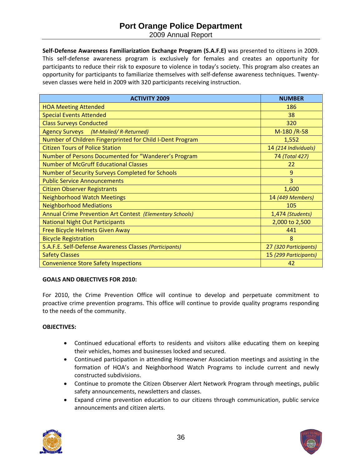## **Port Orange Police Department**  2009 Annual Report

**Self‐Defense Awareness Familiarization Exchange Program (S.A.F.E)** was presented to citizens in 2009. This self-defense awareness program is exclusively for females and creates an opportunity for participants to reduce their risk to exposure to violence in today's society. This program also creates an opportunity for participants to familiarize themselves with self‐defense awareness techniques. Twenty‐ seven classes were held in 2009 with 320 participants receiving instruction.

| <b>ACTIVITY 2009</b>                                      | <b>NUMBER</b>         |  |
|-----------------------------------------------------------|-----------------------|--|
| <b>HOA Meeting Attended</b>                               | 186                   |  |
| <b>Special Events Attended</b>                            | 38                    |  |
| <b>Class Surveys Conducted</b>                            | 320                   |  |
| Agency Surveys (M-Mailed/R-Returned)                      | M-180 /R-58           |  |
| Number of Children Fingerprinted for Child I-Dent Program | 1,552                 |  |
| <b>Citizen Tours of Police Station</b>                    | 14 (214 Individuals)  |  |
| Number of Persons Documented for "Wanderer's Program      | 74 (Total 427)        |  |
| <b>Number of McGruff Educational Classes</b>              | 22                    |  |
| Number of Security Surveys Completed for Schools          | 9                     |  |
| <b>Public Service Announcements</b>                       | 3                     |  |
| <b>Citizen Observer Registrants</b>                       | 1,600                 |  |
| <b>Neighborhood Watch Meetings</b>                        | 14 (449 Members)      |  |
| <b>Neighborhood Mediations</b>                            | 105                   |  |
| Annual Crime Prevention Art Contest (Elementary Schools)  | 1,474 (Students)      |  |
| <b>National Night Out Participants</b>                    | 2,000 to 2,500        |  |
| Free Bicycle Helmets Given Away                           | 441                   |  |
| <b>Bicycle Registration</b>                               | 8                     |  |
| S.A.F.E. Self-Defense Awareness Classes (Participants)    | 27 (320 Participants) |  |
| <b>Safety Classes</b>                                     | 15 (299 Participants) |  |
| <b>Convenience Store Safety Inspections</b>               | 42                    |  |

#### **GOALS AND OBJECTIVES FOR 2010:**

For 2010, the Crime Prevention Office will continue to develop and perpetuate commitment to proactive crime prevention programs. This office will continue to provide quality programs responding to the needs of the community.

#### **OBJECTIVES:**

- Continued educational efforts to residents and visitors alike educating them on keeping their vehicles, homes and businesses locked and secured.
- Continued participation in attending Homeowner Association meetings and assisting in the formation of HOA's and Neighborhood Watch Programs to include current and newly constructed subdivisions.
- Continue to promote the Citizen Observer Alert Network Program through meetings, public safety announcements, newsletters and classes.
- Expand crime prevention education to our citizens through communication, public service announcements and citizen alerts.

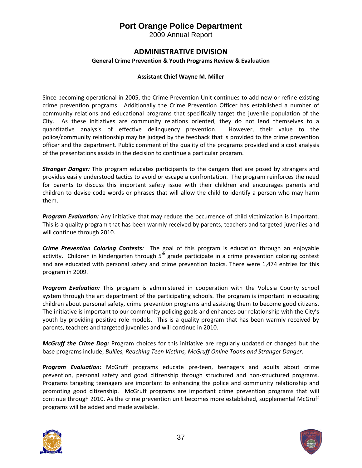# **ADMINISTRATIVE DIVISION**

### **General Crime Prevention & Youth Programs Review & Evaluation**

#### **Assistant Chief Wayne M. Miller**

Since becoming operational in 2005, the Crime Prevention Unit continues to add new or refine existing crime prevention programs. Additionally the Crime Prevention Officer has established a number of community relations and educational programs that specifically target the juvenile population of the City. As these initiatives are community relations oriented, they do not lend themselves to a quantitative analysis of effective delinquency prevention. However, their value to the police/community relationship may be judged by the feedback that is provided to the crime prevention officer and the department. Public comment of the quality of the programs provided and a cost analysis of the presentations assists in the decision to continue a particular program.

*Stranger Danger:* This program educates participants to the dangers that are posed by strangers and provides easily understood tactics to avoid or escape a confrontation. The program reinforces the need for parents to discuss this important safety issue with their children and encourages parents and children to devise code words or phrases that will allow the child to identify a person who may harm them.

*Program Evaluation:* Any initiative that may reduce the occurrence of child victimization is important. This is a quality program that has been warmly received by parents, teachers and targeted juveniles and will continue through 2010.

*Crime Prevention Coloring Contests:* The goal of this program is education through an enjoyable activity. Children in kindergarten through  $5<sup>th</sup>$  grade participate in a crime prevention coloring contest and are educated with personal safety and crime prevention topics. There were 1,474 entries for this program in 2009.

*Program Evaluation:* This program is administered in cooperation with the Volusia County school system through the art department of the participating schools. The program is important in educating children about personal safety, crime prevention programs and assisting them to become good citizens. The initiative is important to our community policing goals and enhances our relationship with the City's youth by providing positive role models. This is a quality program that has been warmly received by parents, teachers and targeted juveniles and will continue in 2010.

*McGruff the Crime Dog:* Program choices for this initiative are regularly updated or changed but the base programs include; *Bullies, Reaching Teen Victims, McGruff Online Toons and Stranger Danger*.

*Program Evaluation:* McGruff programs educate pre‐teen, teenagers and adults about crime prevention, personal safety and good citizenship through structured and non‐structured programs. Programs targeting teenagers are important to enhancing the police and community relationship and promoting good citizenship. McGruff programs are important crime prevention programs that will continue through 2010. As the crime prevention unit becomes more established, supplemental McGruff programs will be added and made available.



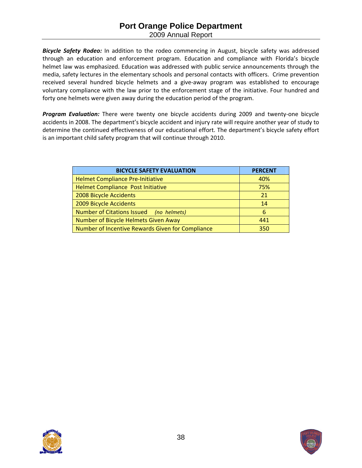*Bicycle Safety Rodeo:* In addition to the rodeo commencing in August, bicycle safety was addressed through an education and enforcement program. Education and compliance with Florida's bicycle helmet law was emphasized. Education was addressed with public service announcements through the media, safety lectures in the elementary schools and personal contacts with officers. Crime prevention received several hundred bicycle helmets and a give‐away program was established to encourage voluntary compliance with the law prior to the enforcement stage of the initiative. Four hundred and forty one helmets were given away during the education period of the program.

*Program Evaluation:* There were twenty one bicycle accidents during 2009 and twenty‐one bicycle accidents in 2008. The department's bicycle accident and injury rate will require another year of study to determine the continued effectiveness of our educational effort. The department's bicycle safety effort is an important child safety program that will continue through 2010.

| <b>BICYCLE SAFETY EVALUATION</b>                 | <b>PERCENT</b> |
|--------------------------------------------------|----------------|
| <b>Helmet Compliance Pre-Initiative</b>          | 40%            |
| Helmet Compliance Post Initiative                | 75%            |
| 2008 Bicycle Accidents                           | 21             |
| 2009 Bicycle Accidents                           | 14             |
| Number of Citations Issued<br>(no helmets)       | 6              |
| Number of Bicycle Helmets Given Away             | 441            |
| Number of Incentive Rewards Given for Compliance | 350            |



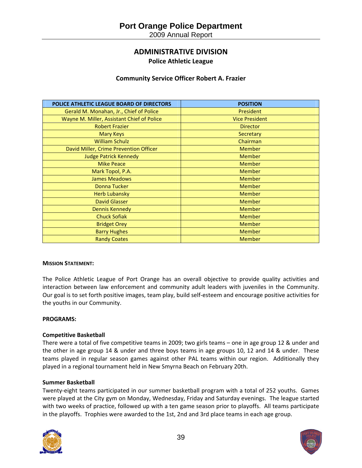# **ADMINISTRATIVE DIVISION Police Athletic League**

# **Community Service Officer Robert A. Frazier**

| POLICE ATHLETIC LEAGUE BOARD OF DIRECTORS  | <b>POSITION</b>       |
|--------------------------------------------|-----------------------|
| Gerald M. Monahan, Jr., Chief of Police    | President             |
| Wayne M. Miller, Assistant Chief of Police | <b>Vice President</b> |
| <b>Robert Frazier</b>                      | <b>Director</b>       |
| <b>Mary Keys</b>                           | Secretary             |
| <b>William Schulz</b>                      | Chairman              |
| David Miller, Crime Prevention Officer     | <b>Member</b>         |
| <b>Judge Patrick Kennedy</b>               | <b>Member</b>         |
| <b>Mike Peace</b>                          | <b>Member</b>         |
| Mark Topol, P.A.                           | <b>Member</b>         |
| <b>James Meadows</b>                       | <b>Member</b>         |
| <b>Donna Tucker</b>                        | <b>Member</b>         |
| <b>Herb Lubansky</b>                       | <b>Member</b>         |
| <b>David Glasser</b>                       | <b>Member</b>         |
| <b>Dennis Kennedy</b>                      | <b>Member</b>         |
| <b>Chuck Sofiak</b>                        | <b>Member</b>         |
| <b>Bridget Orey</b>                        | <b>Member</b>         |
| <b>Barry Hughes</b>                        | <b>Member</b>         |
| <b>Randy Coates</b>                        | <b>Member</b>         |

#### **MISSION STATEMENT:**

The Police Athletic League of Port Orange has an overall objective to provide quality activities and interaction between law enforcement and community adult leaders with juveniles in the Community. Our goal is to set forth positive images, team play, build self‐esteem and encourage positive activities for the youths in our Community.

#### **PROGRAMS:**

### **Competitive Basketball**

There were a total of five competitive teams in 2009; two girls teams – one in age group 12 & under and the other in age group 14 & under and three boys teams in age groups 10, 12 and 14 & under. These teams played in regular season games against other PAL teams within our region. Additionally they played in a regional tournament held in New Smyrna Beach on February 20th.

#### **Summer Basketball**

Twenty-eight teams participated in our summer basketball program with a total of 252 youths. Games were played at the City gym on Monday, Wednesday, Friday and Saturday evenings. The league started with two weeks of practice, followed up with a ten game season prior to playoffs. All teams participate in the playoffs. Trophies were awarded to the 1st, 2nd and 3rd place teams in each age group.

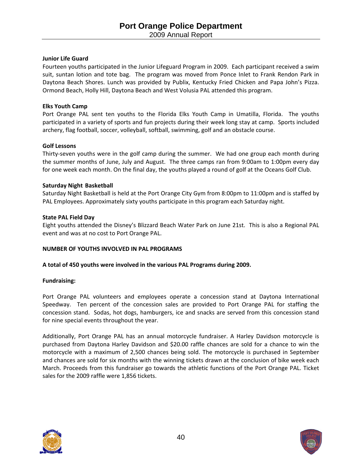## **Junior Life Guard**

Fourteen youths participated in the Junior Lifeguard Program in 2009. Each participant received a swim suit, suntan lotion and tote bag. The program was moved from Ponce Inlet to Frank Rendon Park in Daytona Beach Shores. Lunch was provided by Publix, Kentucky Fried Chicken and Papa John's Pizza. Ormond Beach, Holly Hill, Daytona Beach and West Volusia PAL attended this program.

## **Elks Youth Camp**

Port Orange PAL sent ten youths to the Florida Elks Youth Camp in Umatilla, Florida. The youths participated in a variety of sports and fun projects during their week long stay at camp. Sports included archery, flag football, soccer, volleyball, softball, swimming, golf and an obstacle course.

### **Golf Lessons**

Thirty‐seven youths were in the golf camp during the summer. We had one group each month during the summer months of June, July and August. The three camps ran from 9:00am to 1:00pm every day for one week each month. On the final day, the youths played a round of golf at the Oceans Golf Club.

## **Saturday Night Basketball**

Saturday Night Basketball is held at the Port Orange City Gym from 8:00pm to 11:00pm and is staffed by PAL Employees. Approximately sixty youths participate in this program each Saturday night.

### **State PAL Field Day**

Eight youths attended the Disney's Blizzard Beach Water Park on June 21st. This is also a Regional PAL event and was at no cost to Port Orange PAL.

### **NUMBER OF YOUTHS INVOLVED IN PAL PROGRAMS**

**A total of 450 youths were involved in the various PAL Programs during 2009.** 

### **Fundraising:**

Port Orange PAL volunteers and employees operate a concession stand at Daytona International Speedway. Ten percent of the concession sales are provided to Port Orange PAL for staffing the concession stand. Sodas, hot dogs, hamburgers, ice and snacks are served from this concession stand for nine special events throughout the year.

Additionally, Port Orange PAL has an annual motorcycle fundraiser. A Harley Davidson motorcycle is purchased from Daytona Harley Davidson and \$20.00 raffle chances are sold for a chance to win the motorcycle with a maximum of 2,500 chances being sold. The motorcycle is purchased in September and chances are sold for six months with the winning tickets drawn at the conclusion of bike week each March. Proceeds from this fundraiser go towards the athletic functions of the Port Orange PAL. Ticket sales for the 2009 raffle were 1,856 tickets.



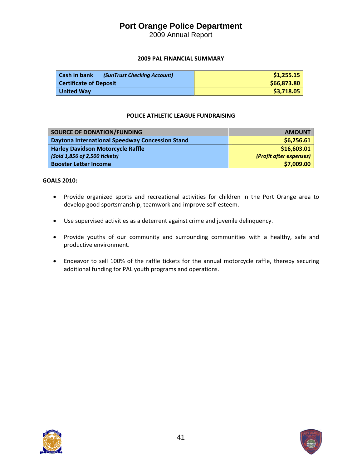2009 Annual Report

## **2009 PAL FINANCIAL SUMMARY**

| <b>Cash in bank</b><br>(SunTrust Checking Account) | \$1,255.15  |
|----------------------------------------------------|-------------|
| <b>Certificate of Deposit</b>                      | \$66,873.80 |
| <b>United Way</b>                                  | \$3,718.05  |

### **POLICE ATHLETIC LEAGUE FUNDRAISING**

| <b>SOURCE OF DONATION/FUNDING</b>                      | <b>AMOUNT</b>           |
|--------------------------------------------------------|-------------------------|
| <b>Daytona International Speedway Concession Stand</b> | \$6,256.61              |
| <b>Harley Davidson Motorcycle Raffle</b>               | \$16,603.01             |
| (Sold 1,856 of 2,500 tickets)                          | (Profit after expenses) |
| <b>Booster Letter Income</b>                           | \$7,009.00              |

#### **GOALS 2010:**

- Provide organized sports and recreational activities for children in the Port Orange area to develop good sportsmanship, teamwork and improve self‐esteem.
- Use supervised activities as a deterrent against crime and juvenile delinquency.
- Provide youths of our community and surrounding communities with a healthy, safe and productive environment.
- Endeavor to sell 100% of the raffle tickets for the annual motorcycle raffle, thereby securing additional funding for PAL youth programs and operations.



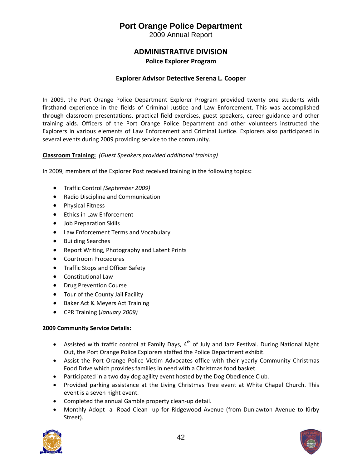# **ADMINISTRATIVE DIVISION Police Explorer Program**

# **Explorer Advisor Detective Serena L. Cooper**

In 2009, the Port Orange Police Department Explorer Program provided twenty one students with firsthand experience in the fields of Criminal Justice and Law Enforcement. This was accomplished through classroom presentations, practical field exercises, guest speakers, career guidance and other training aids. Officers of the Port Orange Police Department and other volunteers instructed the Explorers in various elements of Law Enforcement and Criminal Justice. Explorers also participated in several events during 2009 providing service to the community.

### **Classroom Training:** *(Guest Speakers provided additional training)*

In 2009, members of the Explorer Post received training in the following topics**:**

- Traffic Control *(September 2009)*
- Radio Discipline and Communication
- Physical Fitness
- Ethics in Law Enforcement
- Job Preparation Skills
- Law Enforcement Terms and Vocabulary
- Building Searches
- Report Writing, Photography and Latent Prints
- Courtroom Procedures
- **•** Traffic Stops and Officer Safety
- Constitutional Law
- **•** Drug Prevention Course
- Tour of the County Jail Facility
- Baker Act & Meyers Act Training
- CPR Training (*January 2009)*

### **2009 Community Service Details:**

- Assisted with traffic control at Family Days,  $4<sup>th</sup>$  of July and Jazz Festival. During National Night Out, the Port Orange Police Explorers staffed the Police Department exhibit.
- Assist the Port Orange Police Victim Advocates office with their yearly Community Christmas Food Drive which provides families in need with a Christmas food basket.
- Participated in a two day dog agility event hosted by the Dog Obedience Club.
- Provided parking assistance at the Living Christmas Tree event at White Chapel Church. This event is a seven night event.
- Completed the annual Gamble property clean-up detail.
- Monthly Adopt- a- Road Clean- up for Ridgewood Avenue (from Dunlawton Avenue to Kirby Street).



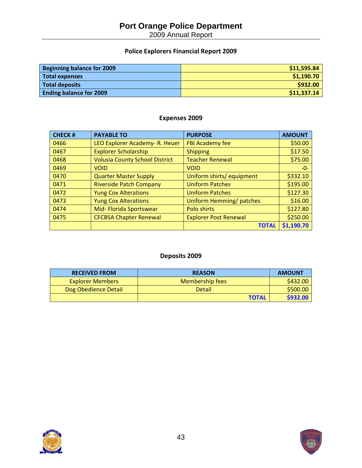2009 Annual Report

# **Police Explorers Financial Report 2009**

| <b>Beginning balance for 2009</b> | \$11,595.84 |
|-----------------------------------|-------------|
| <b>Total expenses</b>             | \$1,190.70  |
| <b>Total deposits</b>             | \$932.00    |
| <b>Ending balance for 2009</b>    | \$11,337.14 |

# **Expenses 2009**

| <b>CHECK#</b> | <b>PAYABLE TO</b>                     | <b>PURPOSE</b>               | <b>AMOUNT</b> |
|---------------|---------------------------------------|------------------------------|---------------|
| 0466          | LEO Explorer Academy- R. Heuer        | <b>FBI Academy fee</b>       | \$50.00       |
| 0467          | <b>Explorer Scholarship</b>           | <b>Shipping</b>              | \$17.50       |
| 0468          | <b>Volusia County School District</b> | <b>Teacher Renewal</b>       | \$75.00       |
| 0469          | <b>VOID</b>                           | <b>VOID</b>                  | $-0-$         |
| 0470          | <b>Quarter Master Supply</b>          | Uniform shirts/equipment     | \$332.10      |
| 0471          | <b>Riverside Patch Company</b>        | <b>Uniform Patches</b>       | \$195.00      |
| 0472          | <b>Yung Cox Alterations</b>           | <b>Uniform Patches</b>       | \$127.30      |
| 0473          | <b>Yung Cox Alterations</b>           | Uniform Hemming/ patches     | \$16.00       |
| 0474          | Mid-Florida Sportswear                | Polo shirts                  | \$127.80      |
| 0475          | <b>CFCBSA Chapter Renewal</b>         | <b>Explorer Post Renewal</b> | \$250.00      |
|               |                                       | <b>TOTAL</b>                 | \$1,190.70    |

# **Deposits 2009**

| <b>RECEIVED FROM</b>    | <b>REASON</b>   | <b>AMOUNT</b> |
|-------------------------|-----------------|---------------|
| <b>Explorer Members</b> | Membership fees | \$432.00      |
| Dog Obedience Detail    | Detail          | \$500.00      |
|                         | <b>TOTAL</b>    | \$932.00      |



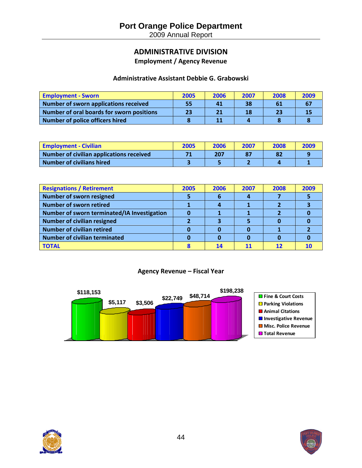**ADMINISTRATIVE DIVISION**

**Employment / Agency Revenue**

# **Administrative Assistant Debbie G. Grabowski**

| <b>Employment - Sworn</b>                 | 2005 | 2006 | 2007 | 2008 | 2009 |
|-------------------------------------------|------|------|------|------|------|
| Number of sworn applications received     | 55   | 41   | 38   | 61   |      |
| Number of oral boards for sworn positions | 23   | 21   | 18   |      | 15   |
| <b>Number of police officers hired</b>    |      | 11   |      |      |      |

| <b>Employment - Civilian</b>             | 2005 | 2006 | 2007 | 2008 | 2009 |
|------------------------------------------|------|------|------|------|------|
| Number of civilian applications received |      | 207  |      |      |      |
| Number of civilians hired                |      |      |      |      |      |

| <b>Resignations / Retirement</b>            | 2005 | 2006 | 2007 | 2008 | 2009 |
|---------------------------------------------|------|------|------|------|------|
| <b>Number of sworn resigned</b>             |      |      |      |      |      |
| <b>Number of sworn retired</b>              |      |      |      |      |      |
| Number of sworn terminated/IA Investigation |      |      |      |      |      |
| <b>Number of civilian resigned</b>          |      |      |      |      |      |
| <b>Number of civilian retired</b>           |      |      |      |      |      |
| <b>Number of civilian terminated</b>        |      |      |      |      |      |
| <b>TOTAL</b>                                |      |      |      |      |      |

# **Agency Revenue – Fiscal Year**



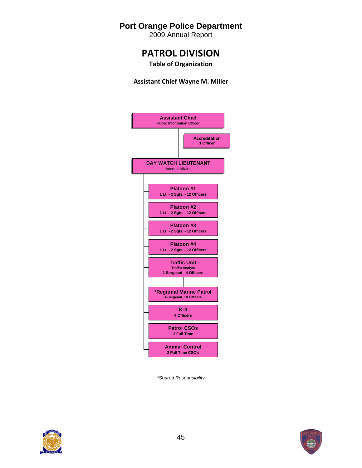2009 Annual Report

# **PATROL DIVISION**

**Table of Organization**

**Assistant Chief Wayne M. Miller**



*\*Shared Responsibility* 

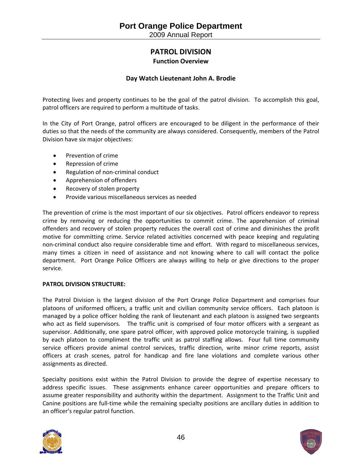# **PATROL DIVISION Function Overview**

# **Day Watch Lieutenant John A. Brodie**

Protecting lives and property continues to be the goal of the patrol division. To accomplish this goal, patrol officers are required to perform a multitude of tasks.

In the City of Port Orange, patrol officers are encouraged to be diligent in the performance of their duties so that the needs of the community are always considered. Consequently, members of the Patrol Division have six major objectives:

- Prevention of crime
- Repression of crime
- Regulation of non-criminal conduct
- Apprehension of offenders
- Recovery of stolen property
- Provide various miscellaneous services as needed

The prevention of crime is the most important of our six objectives. Patrol officers endeavor to repress crime by removing or reducing the opportunities to commit crime. The apprehension of criminal offenders and recovery of stolen property reduces the overall cost of crime and diminishes the profit motive for committing crime. Service related activities concerned with peace keeping and regulating non‐criminal conduct also require considerable time and effort. With regard to miscellaneous services, many times a citizen in need of assistance and not knowing where to call will contact the police department. Port Orange Police Officers are always willing to help or give directions to the proper service.

### **PATROL DIVISION STRUCTURE:**

The Patrol Division is the largest division of the Port Orange Police Department and comprises four platoons of uniformed officers, a traffic unit and civilian community service officers. Each platoon is managed by a police officer holding the rank of lieutenant and each platoon is assigned two sergeants who act as field supervisors. The traffic unit is comprised of four motor officers with a sergeant as supervisor. Additionally, one spare patrol officer, with approved police motorcycle training, is supplied by each platoon to compliment the traffic unit as patrol staffing allows. Four full time community service officers provide animal control services, traffic direction, write minor crime reports, assist officers at crash scenes, patrol for handicap and fire lane violations and complete various other assignments as directed.

Specialty positions exist within the Patrol Division to provide the degree of expertise necessary to address specific issues. These assignments enhance career opportunities and prepare officers to assume greater responsibility and authority within the department. Assignment to the Traffic Unit and Canine positions are full‐time while the remaining specialty positions are ancillary duties in addition to an officer's regular patrol function.



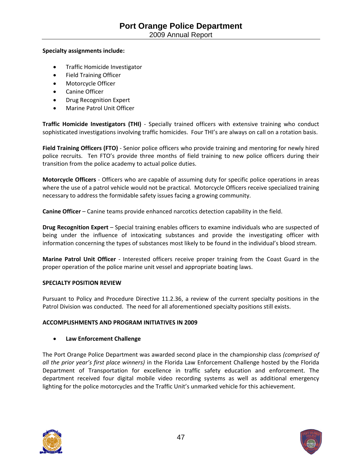## **Specialty assignments include:**

- **•** Traffic Homicide Investigator
- Field Training Officer
- Motorcycle Officer
- Canine Officer
- **•** Drug Recognition Expert
- Marine Patrol Unit Officer

**Traffic Homicide Investigators (THI)** ‐ Specially trained officers with extensive training who conduct sophisticated investigations involving traffic homicides. Four THI's are always on call on a rotation basis.

**Field Training Officers (FTO)** ‐ Senior police officers who provide training and mentoring for newly hired police recruits. Ten FTO's provide three months of field training to new police officers during their transition from the police academy to actual police duties.

**Motorcycle Officers** ‐ Officers who are capable of assuming duty for specific police operations in areas where the use of a patrol vehicle would not be practical. Motorcycle Officers receive specialized training necessary to address the formidable safety issues facing a growing community.

**Canine Officer** – Canine teams provide enhanced narcotics detection capability in the field.

**Drug Recognition Expert** – Special training enables officers to examine individuals who are suspected of being under the influence of intoxicating substances and provide the investigating officer with information concerning the types of substances most likely to be found in the individual's blood stream.

**Marine Patrol Unit Officer** ‐ Interested officers receive proper training from the Coast Guard in the proper operation of the police marine unit vessel and appropriate boating laws.

## **SPECIALTY POSITION REVIEW**

Pursuant to Policy and Procedure Directive 11.2.36, a review of the current specialty positions in the Patrol Division was conducted. The need for all aforementioned specialty positions still exists.

### **ACCOMPLISHMENTS AND PROGRAM INITIATIVES IN 2009**

# **Law Enforcement Challenge**

The Port Orange Police Department was awarded second place in the championship class *(comprised of all the prior year's first place winners)* in the Florida Law Enforcement Challenge hosted by the Florida Department of Transportation for excellence in traffic safety education and enforcement. The department received four digital mobile video recording systems as well as additional emergency lighting for the police motorcycles and the Traffic Unit's unmarked vehicle for this achievement.



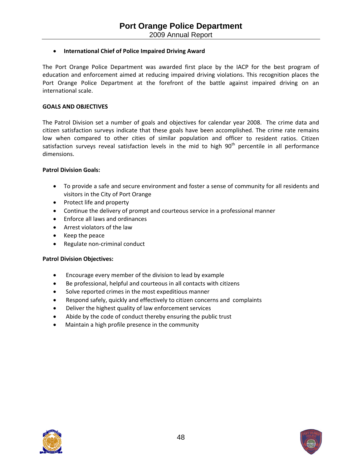## **International Chief of Police Impaired Driving Award**

The Port Orange Police Department was awarded first place by the IACP for the best program of education and enforcement aimed at reducing impaired driving violations. This recognition places the Port Orange Police Department at the forefront of the battle against impaired driving on an international scale.

## **GOALS AND OBJECTIVES**

The Patrol Division set a number of goals and objectives for calendar year 2008. The crime data and citizen satisfaction surveys indicate that these goals have been accomplished. The crime rate remains low when compared to other cities of similar population and officer to resident ratios. Citizen satisfaction surveys reveal satisfaction levels in the mid to high 90<sup>th</sup> percentile in all performance dimensions.

### **Patrol Division Goals:**

- To provide a safe and secure environment and foster a sense of community for all residents and visitors in the City of Port Orange
- Protect life and property
- Continue the delivery of prompt and courteous service in a professional manner
- Enforce all laws and ordinances
- Arrest violators of the law
- Keep the peace
- Regulate non-criminal conduct

### **Patrol Division Objectives:**

- Encourage every member of the division to lead by example
- Be professional, helpful and courteous in all contacts with citizens
- Solve reported crimes in the most expeditious manner
- Respond safely, quickly and effectively to citizen concerns and complaints
- Deliver the highest quality of law enforcement services
- Abide by the code of conduct thereby ensuring the public trust
- Maintain a high profile presence in the community



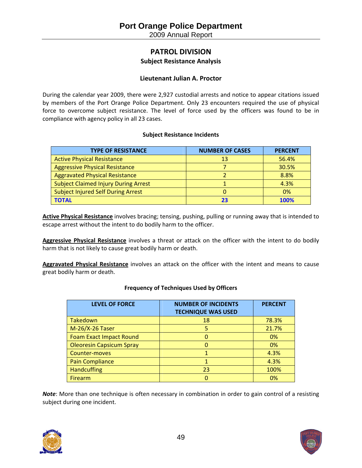# **PATROL DIVISION Subject Resistance Analysis**

# **Lieutenant Julian A. Proctor**

During the calendar year 2009, there were 2,927 custodial arrests and notice to appear citations issued by members of the Port Orange Police Department. Only 23 encounters required the use of physical force to overcome subject resistance. The level of force used by the officers was found to be in compliance with agency policy in all 23 cases.

### **Subject Resistance Incidents**

| <b>TYPE OF RESISTANCE</b>                   | <b>NUMBER OF CASES</b> | <b>PERCENT</b> |
|---------------------------------------------|------------------------|----------------|
| Active Physical Resistance                  | 13                     | 56.4%          |
| <b>Aggressive Physical Resistance</b>       |                        | 30.5%          |
| <b>Aggravated Physical Resistance</b>       |                        | 8.8%           |
| <b>Subject Claimed Injury During Arrest</b> |                        | 4.3%           |
| <b>Subject Injured Self During Arrest</b>   |                        | $0\%$          |
| <b>TOTAL</b>                                | 23                     | 100%           |

**Active Physical Resistance** involves bracing; tensing, pushing, pulling or running away that is intended to escape arrest without the intent to do bodily harm to the officer.

**Aggressive Physical Resistance** involves a threat or attack on the officer with the intent to do bodily harm that is not likely to cause great bodily harm or death.

**Aggravated Physical Resistance** involves an attack on the officer with the intent and means to cause great bodily harm or death.

### **Frequency of Techniques Used by Officers**

| <b>LEVEL OF FORCE</b>           | <b>NUMBER OF INCIDENTS</b><br><b>TECHNIQUE WAS USED</b> | <b>PERCENT</b> |
|---------------------------------|---------------------------------------------------------|----------------|
| Takedown                        | 18                                                      | 78.3%          |
| M-26/X-26 Taser                 | 5                                                       | 21.7%          |
| Foam Exact Impact Round         | O                                                       | 0%             |
| <b>Oleoresin Capsicum Spray</b> | O                                                       | 0%             |
| Counter-moves                   |                                                         | 4.3%           |
| <b>Pain Compliance</b>          |                                                         | 4.3%           |
| <b>Handcuffing</b>              | 23                                                      | 100%           |
| <b>Firearm</b>                  | 0                                                       | 0%             |

*Note*: More than one technique is often necessary in combination in order to gain control of a resisting subject during one incident.



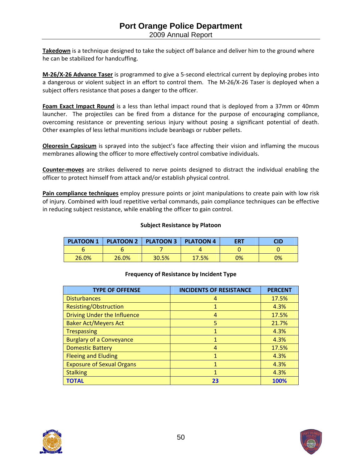**Takedown** is a technique designed to take the subject off balance and deliver him to the ground where he can be stabilized for handcuffing.

**M‐26/X‐26 Advance Taser** is programmed to give a 5‐second electrical current by deploying probes into a dangerous or violent subject in an effort to control them. The M‐26/X‐26 Taser is deployed when a subject offers resistance that poses a danger to the officer.

**Foam Exact Impact Round** is a less than lethal impact round that is deployed from a 37mm or 40mm launcher. The projectiles can be fired from a distance for the purpose of encouraging compliance, overcoming resistance or preventing serious injury without posing a significant potential of death. Other examples of less lethal munitions include beanbags or rubber pellets.

**Oleoresin Capsicum** is sprayed into the subject's face affecting their vision and inflaming the mucous membranes allowing the officer to more effectively control combative individuals.

**Counter‐moves** are strikes delivered to nerve points designed to distract the individual enabling the officer to protect himself from attack and/or establish physical control.

**Pain compliance techniques** employ pressure points or joint manipulations to create pain with low risk of injury. Combined with loud repetitive verbal commands, pain compliance techniques can be effective in reducing subject resistance, while enabling the officer to gain control.

### **Subject Resistance by Platoon**

| <b>PLATOON 1</b> |       | PLATOON 2   PLATOON 3   PLATOON 4 |       | <b>ERT</b> | CID |
|------------------|-------|-----------------------------------|-------|------------|-----|
|                  |       |                                   |       |            |     |
| 26.0%            | 26.0% | 30.5%                             | 17.5% | 0%         | 0%  |

### **Frequency of Resistance by Incident Type**

| <b>TYPE OF OFFENSE</b>           | <b>INCIDENTS OF RESISTANCE</b> | <b>PERCENT</b> |
|----------------------------------|--------------------------------|----------------|
| <b>Disturbances</b>              | 4                              | 17.5%          |
| Resisting/Obstruction            |                                | 4.3%           |
| Driving Under the Influence      | 4                              | 17.5%          |
| <b>Baker Act/Meyers Act</b>      | 5                              | 21.7%          |
| <b>Trespassing</b>               |                                | 4.3%           |
| <b>Burglary of a Conveyance</b>  |                                | 4.3%           |
| <b>Domestic Battery</b>          | 4                              | 17.5%          |
| <b>Fleeing and Eluding</b>       |                                | 4.3%           |
| <b>Exposure of Sexual Organs</b> | 1                              | 4.3%           |
| <b>Stalking</b>                  |                                | 4.3%           |
| <b>TOTAL</b>                     | 23                             | 100%           |



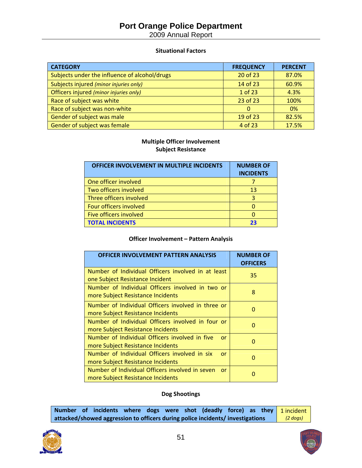2009 Annual Report

## **Situational Factors**

| <b>CATEGORY</b>                               | <b>FREQUENCY</b> | <b>PERCENT</b> |
|-----------------------------------------------|------------------|----------------|
| Subjects under the influence of alcohol/drugs | 20 of 23         | 87.0%          |
| Subjects injured (minor injuries only)        | 14 of 23         | 60.9%          |
| Officers injured (minor injuries only)        | 1 of 23          | 4.3%           |
| Race of subject was white                     | 23 of 23         | 100%           |
| Race of subject was non-white                 | $\Omega$         | 0%             |
| Gender of subject was male                    | 19 of 23         | 82.5%          |
| Gender of subject was female                  | 4 of 23          | 17.5%          |

# **Multiple Officer Involvement Subject Resistance**

| OFFICER INVOLVEMENT IN MULTIPLE INCIDENTS | <b>NUMBER OF</b><br><b>INCIDENTS</b> |
|-------------------------------------------|--------------------------------------|
| One officer involved                      |                                      |
| Two officers involved                     | 13                                   |
| Three officers involved                   | ર                                    |
| Four officers involved                    |                                      |
| <b>Five officers involved</b>             |                                      |
| <b>TOTAL INCIDENTS</b>                    | フマ                                   |

## **Officer Involvement – Pattern Analysis**

| <b>OFFICER INVOLVEMENT PATTERN ANALYSIS</b>                                                | <b>NUMBER OF</b><br><b>OFFICERS</b> |
|--------------------------------------------------------------------------------------------|-------------------------------------|
| Number of Individual Officers involved in at least<br>one Subject Resistance Incident      | 35                                  |
| Number of Individual Officers involved in two or<br>more Subject Resistance Incidents      | 8                                   |
| Number of Individual Officers involved in three or<br>more Subject Resistance Incidents    | O                                   |
| Number of Individual Officers involved in four or<br>more Subject Resistance Incidents     | n                                   |
| Number of Individual Officers involved in five<br>or<br>more Subject Resistance Incidents  | ŋ                                   |
| Number of Individual Officers involved in six<br>or<br>more Subject Resistance Incidents   | n                                   |
| Number of Individual Officers involved in seven<br>or<br>more Subject Resistance Incidents | n                                   |

# **Dog Shootings**

**Number of incidents where dogs were shot (deadly force) as they attacked/showed aggression to officers during police incidents/ investigations** 1 incident *(2 dogs)*

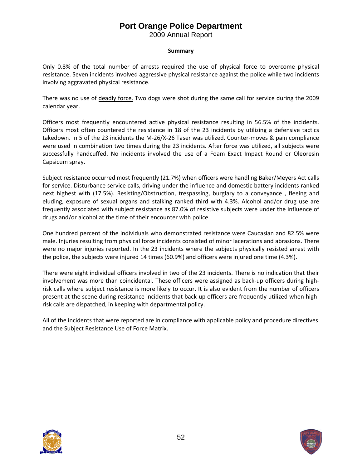2009 Annual Report

## **Summary**

Only 0.8% of the total number of arrests required the use of physical force to overcome physical resistance. Seven incidents involved aggressive physical resistance against the police while two incidents involving aggravated physical resistance.

There was no use of deadly force. Two dogs were shot during the same call for service during the 2009 calendar year.

Officers most frequently encountered active physical resistance resulting in 56.5% of the incidents. Officers most often countered the resistance in 18 of the 23 incidents by utilizing a defensive tactics takedown. In 5 of the 23 incidents the M‐26/X‐26 Taser was utilized. Counter‐moves & pain compliance were used in combination two times during the 23 incidents. After force was utilized, all subjects were successfully handcuffed. No incidents involved the use of a Foam Exact Impact Round or Oleoresin Capsicum spray.

Subject resistance occurred most frequently (21.7%) when officers were handling Baker/Meyers Act calls for service. Disturbance service calls, driving under the influence and domestic battery incidents ranked next highest with (17.5%). Resisting/Obstruction, trespassing, burglary to a conveyance , fleeing and eluding, exposure of sexual organs and stalking ranked third with 4.3%. Alcohol and/or drug use are frequently associated with subject resistance as 87.0% of resistive subjects were under the influence of drugs and/or alcohol at the time of their encounter with police.

One hundred percent of the individuals who demonstrated resistance were Caucasian and 82.5% were male. Injuries resulting from physical force incidents consisted of minor lacerations and abrasions. There were no major injuries reported. In the 23 incidents where the subjects physically resisted arrest with the police, the subjects were injured 14 times (60.9%) and officers were injured one time (4.3%).

There were eight individual officers involved in two of the 23 incidents. There is no indication that their involvement was more than coincidental. These officers were assigned as back-up officers during highrisk calls where subject resistance is more likely to occur. It is also evident from the number of officers present at the scene during resistance incidents that back-up officers are frequently utilized when highrisk calls are dispatched, in keeping with departmental policy.

All of the incidents that were reported are in compliance with applicable policy and procedure directives and the Subject Resistance Use of Force Matrix.



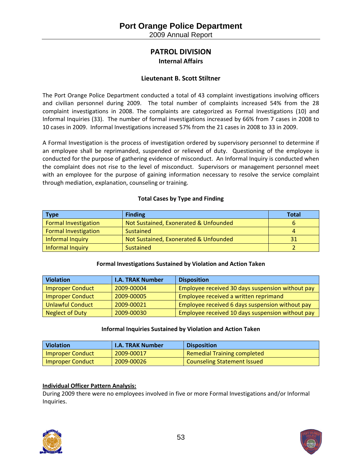# **PATROL DIVISION Internal Affairs**

## **Lieutenant B. Scott Stiltner**

The Port Orange Police Department conducted a total of 43 complaint investigations involving officers and civilian personnel during 2009. The total number of complaints increased 54% from the 28 complaint investigations in 2008. The complaints are categorized as Formal Investigations (10) and Informal Inquiries (33). The number of formal investigations increased by 66% from 7 cases in 2008 to 10 cases in 2009. Informal Investigations increased 57% from the 21 cases in 2008 to 33 in 2009.

A Formal Investigation is the process of investigation ordered by supervisory personnel to determine if an employee shall be reprimanded, suspended or relieved of duty. Questioning of the employee is conducted for the purpose of gathering evidence of misconduct. An Informal Inquiry is conducted when the complaint does not rise to the level of misconduct. Supervisors or management personnel meet with an employee for the purpose of gaining information necessary to resolve the service complaint through mediation, explanation, counseling or training.

### **Total Cases by Type and Finding**

| <b>Type</b>                 | <b>Finding</b>                        | <b>Total</b> |
|-----------------------------|---------------------------------------|--------------|
| <b>Formal Investigation</b> | Not Sustained, Exonerated & Unfounded | b            |
| <b>Formal Investigation</b> | Sustained                             |              |
| Informal Inquiry            | Not Sustained, Exonerated & Unfounded | 31           |
| Informal Inquiry            | Sustained                             |              |

### **Formal Investigations Sustained by Violation and Action Taken**

| <b>Violation</b>        | <b>I.A. TRAK Number</b> | <b>Disposition</b>                               |
|-------------------------|-------------------------|--------------------------------------------------|
| <b>Improper Conduct</b> | 2009-00004              | Employee received 30 days suspension without pay |
| <b>Improper Conduct</b> | 2009-00005              | Employee received a written reprimand            |
| Unlawful Conduct        | 2009-00021              | Employee received 6 days suspension without pay  |
| Neglect of Duty         | 2009-00030              | Employee received 10 days suspension without pay |

### **Informal Inquiries Sustained by Violation and Action Taken**

| <b>Violation</b> | <b>I.A. TRAK Number</b> | <b>Disposition</b>                 |
|------------------|-------------------------|------------------------------------|
| Improper Conduct | 2009-00017              | <b>Remedial Training completed</b> |
| Improper Conduct | 2009-00026              | <b>Counseling Statement Issued</b> |

### **Individual Officer Pattern Analysis:**

During 2009 there were no employees involved in five or more Formal Investigations and/or Informal Inquiries.

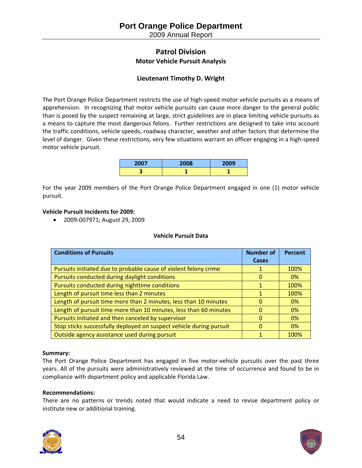2009 Annual Report

# **Patrol Division Motor Vehicle Pursuit Analysis**

# **Lieutenant Timothy D. Wright**

The Port Orange Police Department restricts the use of high‐speed motor vehicle pursuits as a means of apprehension. In recognizing that motor vehicle pursuits can cause more danger to the general public than is posed by the suspect remaining at large, strict guidelines are in place limiting vehicle pursuits as a means to capture the most dangerous felons. Further restrictions are designed to take into account the traffic conditions, vehicle speeds, roadway character, weather and other factors that determine the level of danger. Given these restrictions, very few situations warrant an officer engaging in a high-speed motor vehicle pursuit.

| 2007 | 2008 | 2009 |
|------|------|------|
|      |      |      |

For the year 2009 members of the Port Orange Police Department engaged in one (1) motor vehicle pursuit.

### **Vehicle Pursuit Incidents for 2009:**

2009‐007971; August 29, 2009

### **Vehicle Pursuit Data**

| <b>Conditions of Pursuits</b>                                       | Number of | Percent |
|---------------------------------------------------------------------|-----------|---------|
|                                                                     | Cases     |         |
| Pursuits initiated due to probable cause of violent felony crime    |           | 100%    |
| Pursuits conducted during daylight conditions                       | 0         | 0%      |
| Pursuits conducted during nighttime conditions                      | 1         | 100%    |
| Length of pursuit time less than 2 minutes                          | 1         | 100%    |
| Length of pursuit time more than 2 minutes, less than 10 minutes    | $\Omega$  | 0%      |
| Length of pursuit time more than 10 minutes, less than 60 minutes   | 0         | 0%      |
| Pursuits initiated and then canceled by supervisor                  | $\Omega$  | 0%      |
| Stop sticks successfully deployed on suspect vehicle during pursuit | 0         | 0%      |
| Outside agency assistance used during pursuit                       |           | 100%    |

#### **Summary:**

The Port Orange Police Department has engaged in five motor-vehicle pursuits over the past three years. All of the pursuits were administratively reviewed at the time of occurrence and found to be in compliance with department policy and applicable Florida Law.

#### **Recommendations:**

There are no patterns or trends noted that would indicate a need to revise department policy or institute new or additional training.



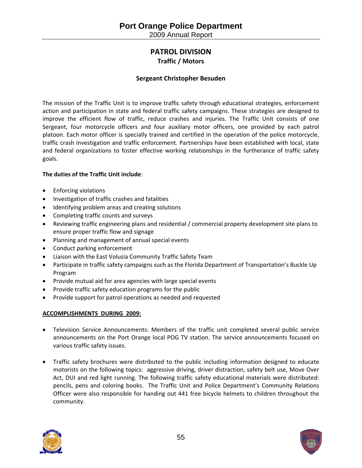2009 Annual Report

# **PATROL DIVISION Traffic / Motors**

## **Sergeant Christopher Besuden**

The mission of the Traffic Unit is to improve traffic safety through educational strategies, enforcement action and participation in state and federal traffic safety campaigns. These strategies are designed to improve the efficient flow of traffic, reduce crashes and injuries. The Traffic Unit consists of one Sergeant, four motorcycle officers and four auxiliary motor officers, one provided by each patrol platoon. Each motor officer is specially trained and certified in the operation of the police motorcycle, traffic crash investigation and traffic enforcement. Partnerships have been established with local, state and federal organizations to foster effective working relationships in the furtherance of traffic safety goals.

### **The duties of the Traffic Unit include**:

- Enforcing violations
- Investigation of traffic crashes and fatalities
- Identifying problem areas and creating solutions
- Completing traffic counts and surveys
- Reviewing traffic engineering plans and residential / commercial property development site plans to ensure proper traffic flow and signage
- Planning and management of annual special events
- Conduct parking enforcement
- Liaison with the East Volusia Community Traffic Safety Team
- Participate in traffic safety campaigns such as the Florida Department of Transportation's Buckle Up Program
- Provide mutual aid for area agencies with large special events
- Provide traffic safety education programs for the public
- Provide support for patrol operations as needed and requested

### **ACCOMPLISHMENTS DURING 2009:**

- Television Service Announcements: Members of the traffic unit completed several public service announcements on the Port Orange local POG TV station. The service announcements focused on various traffic safety issues.
- Traffic safety brochures were distributed to the public including information designed to educate motorists on the following topics: aggressive driving, driver distraction, safety belt use, Move Over Act, DUI and red light running. The following traffic safety educational materials were distributed: pencils, pens and coloring books. The Traffic Unit and Police Department's Community Relations Officer were also responsible for handing out 441 free bicycle helmets to children throughout the community.



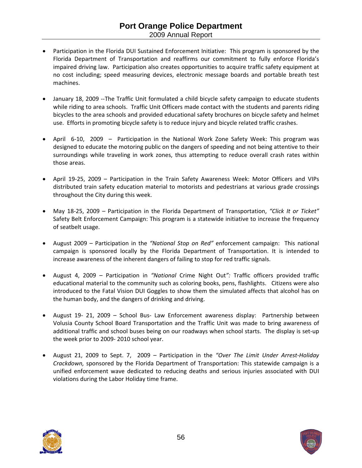- Participation in the Florida DUI Sustained Enforcement Initiative: This program is sponsored by the Florida Department of Transportation and reaffirms our commitment to fully enforce Florida's impaired driving law. Participation also creates opportunities to acquire traffic safety equipment at no cost including; speed measuring devices, electronic message boards and portable breath test machines.
- January 18, 2009 ‐‐The Traffic Unit formulated a child bicycle safety campaign to educate students while riding to area schools. Traffic Unit Officers made contact with the students and parents riding bicycles to the area schools and provided educational safety brochures on bicycle safety and helmet use. Efforts in promoting bicycle safety is to reduce injury and bicycle related traffic crashes.
- April 6-10, 2009 Participation in the National Work Zone Safety Week: This program was designed to educate the motoring public on the dangers of speeding and not being attentive to their surroundings while traveling in work zones, thus attempting to reduce overall crash rates within those areas.
- April 19‐25, 2009 Participation in the Train Safety Awareness Week: Motor Officers and VIPs distributed train safety education material to motorists and pedestrians at various grade crossings throughout the City during this week.
- May 18‐25, 2009 Participation in the Florida Department of Transportation, *"Click It or Ticket"* Safety Belt Enforcement Campaign: This program is a statewide initiative to increase the frequency of seatbelt usage.
- August 2009 Participation in the *"National Stop on Red"* enforcement campaign: This national campaign is sponsored locally by the Florida Department of Transportation. It is intended to increase awareness of the inherent dangers of failing to stop for red traffic signals.
- August 4, 2009 Participation in *"National* Crime Night Out*":* Traffic officers provided traffic educational material to the community such as coloring books, pens, flashlights. Citizens were also introduced to the Fatal Vision DUI Goggles to show them the simulated affects that alcohol has on the human body, and the dangers of drinking and driving.
- August 19- 21, 2009 School Bus- Law Enforcement awareness display: Partnership between Volusia County School Board Transportation and the Traffic Unit was made to bring awareness of additional traffic and school buses being on our roadways when school starts. The display is set‐up the week prior to 2009‐ 2010 school year.
- August 21, 2009 to Sept. 7, 2009 Participation in the *"Over The Limit Under Arrest‐Holiday Crackdown,* sponsored by the Florida Department of Transportation: This statewide campaign is a unified enforcement wave dedicated to reducing deaths and serious injuries associated with DUI violations during the Labor Holiday time frame.



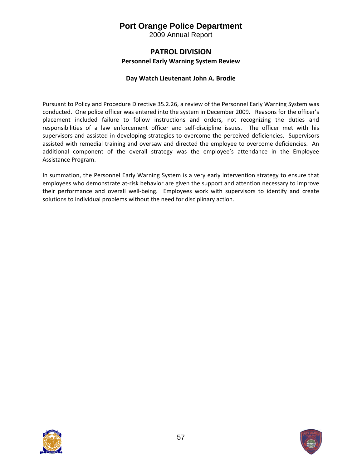2009 Annual Report

# **PATROL DIVISION Personnel Early Warning System Review**

## **Day Watch Lieutenant John A. Brodie**

Pursuant to Policy and Procedure Directive 35.2.26, a review of the Personnel Early Warning System was conducted. One police officer was entered into the system in December 2009. Reasons for the officer's placement included failure to follow instructions and orders, not recognizing the duties and responsibilities of a law enforcement officer and self‐discipline issues. The officer met with his supervisors and assisted in developing strategies to overcome the perceived deficiencies. Supervisors assisted with remedial training and oversaw and directed the employee to overcome deficiencies. An additional component of the overall strategy was the employee's attendance in the Employee Assistance Program.

In summation, the Personnel Early Warning System is a very early intervention strategy to ensure that employees who demonstrate at‐risk behavior are given the support and attention necessary to improve their performance and overall well-being. Employees work with supervisors to identify and create solutions to individual problems without the need for disciplinary action.



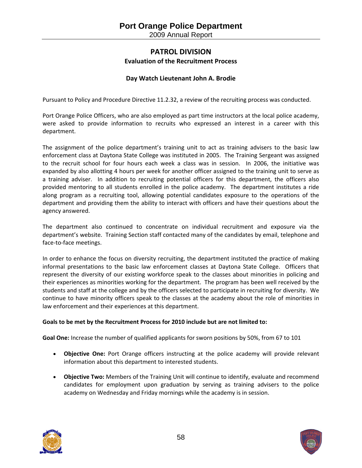# **PATROL DIVISION Evaluation of the Recruitment Process**

# **Day Watch Lieutenant John A. Brodie**

Pursuant to Policy and Procedure Directive 11.2.32, a review of the recruiting process was conducted.

Port Orange Police Officers, who are also employed as part time instructors at the local police academy, were asked to provide information to recruits who expressed an interest in a career with this department.

The assignment of the police department's training unit to act as training advisers to the basic law enforcement class at Daytona State College was instituted in 2005. The Training Sergeant was assigned to the recruit school for four hours each week a class was in session. In 2006, the initiative was expanded by also allotting 4 hours per week for another officer assigned to the training unit to serve as a training adviser. In addition to recruiting potential officers for this department, the officers also provided mentoring to all students enrolled in the police academy. The department institutes a ride along program as a recruiting tool, allowing potential candidates exposure to the operations of the department and providing them the ability to interact with officers and have their questions about the agency answered.

The department also continued to concentrate on individual recruitment and exposure via the department's website. Training Section staff contacted many of the candidates by email, telephone and face‐to‐face meetings.

In order to enhance the focus on diversity recruiting, the department instituted the practice of making informal presentations to the basic law enforcement classes at Daytona State College. Officers that represent the diversity of our existing workforce speak to the classes about minorities in policing and their experiences as minorities working for the department. The program has been well received by the students and staff at the college and by the officers selected to participate in recruiting for diversity. We continue to have minority officers speak to the classes at the academy about the role of minorities in law enforcement and their experiences at this department.

# **Goals to be met by the Recruitment Process for 2010 include but are not limited to:**

**Goal One:** Increase the number of qualified applicants for sworn positions by 50%, from 67 to 101

- **Objective One:** Port Orange officers instructing at the police academy will provide relevant information about this department to interested students.
- **Objective Two:** Members of the Training Unit will continue to identify, evaluate and recommend candidates for employment upon graduation by serving as training advisers to the police academy on Wednesday and Friday mornings while the academy is in session.



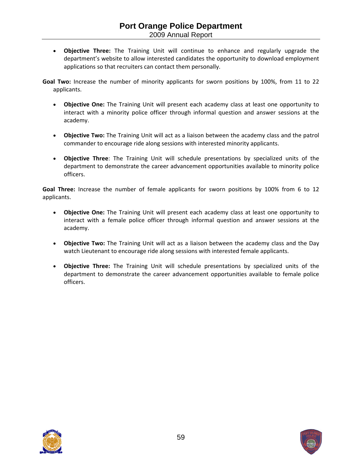**Objective Three:** The Training Unit will continue to enhance and regularly upgrade the department's website to allow interested candidates the opportunity to download employment applications so that recruiters can contact them personally.

**Goal Two:** Increase the number of minority applicants for sworn positions by 100%, from 11 to 22 applicants.

- **Objective One:** The Training Unit will present each academy class at least one opportunity to interact with a minority police officer through informal question and answer sessions at the academy.
- **Objective Two:** The Training Unit will act as a liaison between the academy class and the patrol commander to encourage ride along sessions with interested minority applicants.
- **Objective Three**: The Training Unit will schedule presentations by specialized units of the department to demonstrate the career advancement opportunities available to minority police officers.

**Goal Three:** Increase the number of female applicants for sworn positions by 100% from 6 to 12 applicants.

- **Objective One:** The Training Unit will present each academy class at least one opportunity to interact with a female police officer through informal question and answer sessions at the academy.
- **Objective Two:** The Training Unit will act as a liaison between the academy class and the Day watch Lieutenant to encourage ride along sessions with interested female applicants.
- **Objective Three:** The Training Unit will schedule presentations by specialized units of the department to demonstrate the career advancement opportunities available to female police officers.



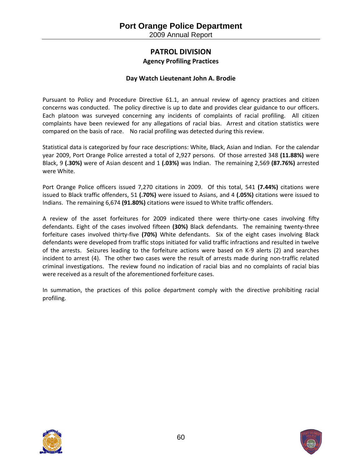# **PATROL DIVISION Agency Profiling Practices**

# **Day Watch Lieutenant John A. Brodie**

Pursuant to Policy and Procedure Directive 61.1, an annual review of agency practices and citizen concerns was conducted. The policy directive is up to date and provides clear guidance to our officers. Each platoon was surveyed concerning any incidents of complaints of racial profiling. All citizen complaints have been reviewed for any allegations of racial bias. Arrest and citation statistics were compared on the basis of race. No racial profiling was detected during this review.

Statistical data is categorized by four race descriptions: White, Black, Asian and Indian. For the calendar year 2009, Port Orange Police arrested a total of 2,927 persons. Of those arrested 348 **(11.88%)** were Black, 9 **(.30%)** were of Asian descent and 1 **(.03%)** was Indian. The remaining 2,569 **(87.76%)** arrested were White.

Port Orange Police officers issued 7,270 citations in 2009. Of this total, 541 (7.44%) citations were issued to Black traffic offenders, 51 **(.70%)** were issued to Asians, and 4 **(.05%)** citations were issued to Indians. The remaining 6,674 **(91.80%)** citations were issued to White traffic offenders.

A review of the asset forfeitures for 2009 indicated there were thirty-one cases involving fifty defendants. Eight of the cases involved fifteen **(30%)** Black defendants. The remaining twenty‐three forfeiture cases involved thirty‐five **(70%)** White defendants. Six of the eight cases involving Black defendants were developed from traffic stops initiated for valid traffic infractions and resulted in twelve of the arrests. Seizures leading to the forfeiture actions were based on K-9 alerts (2) and searches incident to arrest (4). The other two cases were the result of arrests made during non-traffic related criminal investigations. The review found no indication of racial bias and no complaints of racial bias were received as a result of the aforementioned forfeiture cases.

In summation, the practices of this police department comply with the directive prohibiting racial profiling.



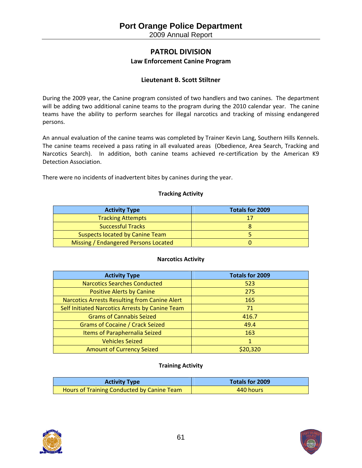# **PATROL DIVISION Law Enforcement Canine Program**

# **Lieutenant B. Scott Stiltner**

During the 2009 year, the Canine program consisted of two handlers and two canines. The department will be adding two additional canine teams to the program during the 2010 calendar year. The canine teams have the ability to perform searches for illegal narcotics and tracking of missing endangered persons.

An annual evaluation of the canine teams was completed by Trainer Kevin Lang, Southern Hills Kennels. The canine teams received a pass rating in all evaluated areas (Obedience, Area Search, Tracking and Narcotics Search). In addition, both canine teams achieved re-certification by the American K9 Detection Association.

There were no incidents of inadvertent bites by canines during the year.

## **Tracking Activity**

| <b>Activity Type</b>                 | Totals for 2009 |
|--------------------------------------|-----------------|
| <b>Tracking Attempts</b>             |                 |
| <b>Successful Tracks</b>             |                 |
| Suspects located by Canine Team      |                 |
| Missing / Endangered Persons Located |                 |

### **Narcotics Activity**

| <b>Activity Type</b>                            | <b>Totals for 2009</b> |
|-------------------------------------------------|------------------------|
| <b>Narcotics Searches Conducted</b>             | 523                    |
| <b>Positive Alerts by Canine</b>                | 275                    |
| Narcotics Arrests Resulting from Canine Alert   | 165                    |
| Self Initiated Narcotics Arrests by Canine Team | 71                     |
| <b>Grams of Cannabis Seized</b>                 | 416.7                  |
| <b>Grams of Cocaine / Crack Seized</b>          | 49.4                   |
| Items of Paraphernalia Seized                   | 163                    |
| <b>Vehicles Seized</b>                          | 1                      |
| <b>Amount of Currency Seized</b>                | \$20,320               |

### **Training Activity**

| <b>Activity Type</b>                       | Totals for 2009 |  |  |  |  |
|--------------------------------------------|-----------------|--|--|--|--|
| Hours of Training Conducted by Canine Team | 440 hours       |  |  |  |  |



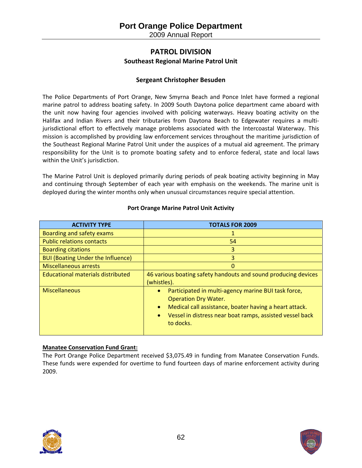2009 Annual Report

# **PATROL DIVISION Southeast Regional Marine Patrol Unit**

# **Sergeant Christopher Besuden**

The Police Departments of Port Orange, New Smyrna Beach and Ponce Inlet have formed a regional marine patrol to address boating safety. In 2009 South Daytona police department came aboard with the unit now having four agencies involved with policing waterways. Heavy boating activity on the Halifax and Indian Rivers and their tributaries from Daytona Beach to Edgewater requires a multijurisdictional effort to effectively manage problems associated with the Intercoastal Waterway. This mission is accomplished by providing law enforcement services throughout the maritime jurisdiction of the Southeast Regional Marine Patrol Unit under the auspices of a mutual aid agreement. The primary responsibility for the Unit is to promote boating safety and to enforce federal, state and local laws within the Unit's jurisdiction.

The Marine Patrol Unit is deployed primarily during periods of peak boating activity beginning in May and continuing through September of each year with emphasis on the weekends. The marine unit is deployed during the winter months only when unusual circumstances require special attention.

| <b>ACTIVITY TYPE</b>                     | <b>TOTALS FOR 2009</b>                                                                                                                                                                                                                                       |
|------------------------------------------|--------------------------------------------------------------------------------------------------------------------------------------------------------------------------------------------------------------------------------------------------------------|
| <b>Boarding and safety exams</b>         |                                                                                                                                                                                                                                                              |
| <b>Public relations contacts</b>         | 54                                                                                                                                                                                                                                                           |
| <b>Boarding citations</b>                | 3                                                                                                                                                                                                                                                            |
| <b>BUI (Boating Under the Influence)</b> | 3                                                                                                                                                                                                                                                            |
| <b>Miscellaneous arrests</b>             | 0                                                                                                                                                                                                                                                            |
| Educational materials distributed        | 46 various boating safety handouts and sound producing devices<br>(whistles).                                                                                                                                                                                |
| <b>Miscellaneous</b>                     | Participated in multi-agency marine BUI task force,<br>$\bullet$<br><b>Operation Dry Water.</b><br>Medical call assistance, boater having a heart attack.<br>$\bullet$<br>Vessel in distress near boat ramps, assisted vessel back<br>$\bullet$<br>to docks. |

## **Port Orange Marine Patrol Unit Activity**

# **Manatee Conservation Fund Grant:**

The Port Orange Police Department received \$3,075.49 in funding from Manatee Conservation Funds. These funds were expended for overtime to fund fourteen days of marine enforcement activity during 2009.



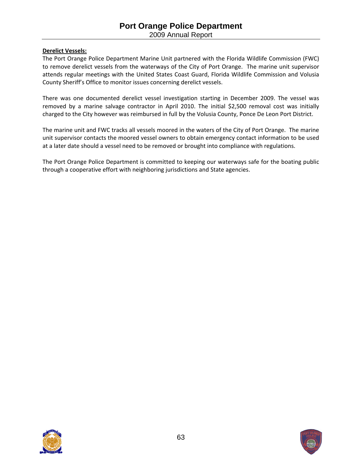# **Derelict Vessels:**

The Port Orange Police Department Marine Unit partnered with the Florida Wildlife Commission (FWC) to remove derelict vessels from the waterways of the City of Port Orange. The marine unit supervisor attends regular meetings with the United States Coast Guard, Florida Wildlife Commission and Volusia County Sheriff's Office to monitor issues concerning derelict vessels.

There was one documented derelict vessel investigation starting in December 2009. The vessel was removed by a marine salvage contractor in April 2010. The initial \$2,500 removal cost was initially charged to the City however was reimbursed in full by the Volusia County, Ponce De Leon Port District.

The marine unit and FWC tracks all vessels moored in the waters of the City of Port Orange. The marine unit supervisor contacts the moored vessel owners to obtain emergency contact information to be used at a later date should a vessel need to be removed or brought into compliance with regulations.

The Port Orange Police Department is committed to keeping our waterways safe for the boating public through a cooperative effort with neighboring jurisdictions and State agencies.



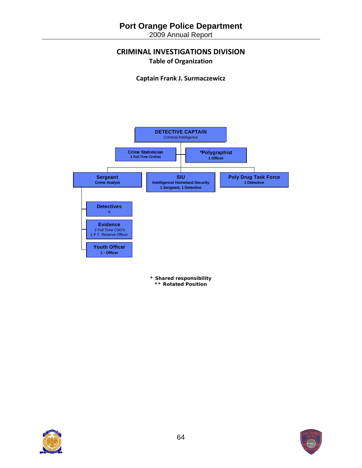# **CRIMINAL INVESTIGATIONS DIVISION Table of Organization**

**Captain Frank J. Surmaczewicz**



*\* Shared responsibility \*\* Rotated Position* 



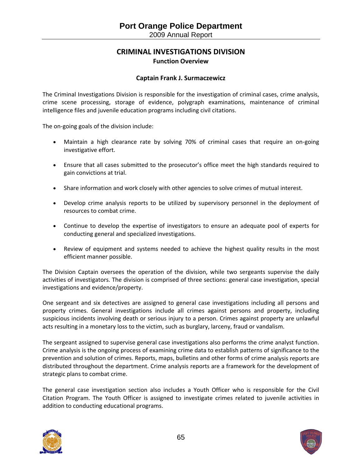# **CRIMINAL INVESTIGATIONS DIVISION Function Overview**

# **Captain Frank J. Surmaczewicz**

The Criminal Investigations Division is responsible for the investigation of criminal cases, crime analysis, crime scene processing, storage of evidence, polygraph examinations, maintenance of criminal intelligence files and juvenile education programs including civil citations.

The on‐going goals of the division include:

- Maintain a high clearance rate by solving 70% of criminal cases that require an on-going investigative effort.
- Ensure that all cases submitted to the prosecutor's office meet the high standards required to gain convictions at trial.
- Share information and work closely with other agencies to solve crimes of mutual interest.
- Develop crime analysis reports to be utilized by supervisory personnel in the deployment of resources to combat crime.
- Continue to develop the expertise of investigators to ensure an adequate pool of experts for conducting general and specialized investigations.
- Review of equipment and systems needed to achieve the highest quality results in the most efficient manner possible.

The Division Captain oversees the operation of the division, while two sergeants supervise the daily activities of investigators. The division is comprised of three sections: general case investigation, special investigations and evidence/property.

One sergeant and six detectives are assigned to general case investigations including all persons and property crimes. General investigations include all crimes against persons and property, including suspicious incidents involving death or serious injury to a person. Crimes against property are unlawful acts resulting in a monetary loss to the victim, such as burglary, larceny, fraud or vandalism.

The sergeant assigned to supervise general case investigations also performs the crime analyst function. Crime analysis is the ongoing process of examining crime data to establish patterns of significance to the prevention and solution of crimes. Reports, maps, bulletins and other forms of crime analysis reports are distributed throughout the department. Crime analysis reports are a framework for the development of strategic plans to combat crime.

The general case investigation section also includes a Youth Officer who is responsible for the Civil Citation Program. The Youth Officer is assigned to investigate crimes related to juvenile activities in addition to conducting educational programs.



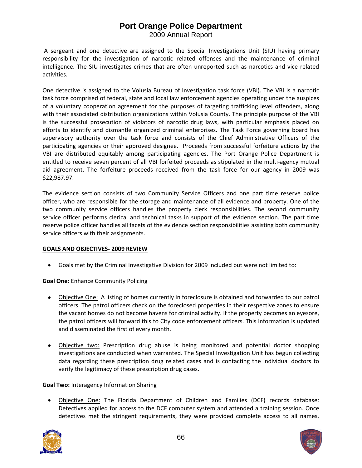A sergeant and one detective are assigned to the Special Investigations Unit (SIU) having primary responsibility for the investigation of narcotic related offenses and the maintenance of criminal intelligence. The SIU investigates crimes that are often unreported such as narcotics and vice related activities.

One detective is assigned to the Volusia Bureau of Investigation task force (VBI). The VBI is a narcotic task force comprised of federal, state and local law enforcement agencies operating under the auspices of a voluntary cooperation agreement for the purposes of targeting trafficking level offenders, along with their associated distribution organizations within Volusia County. The principle purpose of the VBI is the successful prosecution of violators of narcotic drug laws, with particular emphasis placed on efforts to identify and dismantle organized criminal enterprises. The Task Force governing board has supervisory authority over the task force and consists of the Chief Administrative Officers of the participating agencies or their approved designee. Proceeds from successful forfeiture actions by the VBI are distributed equitably among participating agencies. The Port Orange Police Department is entitled to receive seven percent of all VBI forfeited proceeds as stipulated in the multi-agency mutual aid agreement. The forfeiture proceeds received from the task force for our agency in 2009 was \$22,987.97.

The evidence section consists of two Community Service Officers and one part time reserve police officer, who are responsible for the storage and maintenance of all evidence and property. One of the two community service officers handles the property clerk responsibilities. The second community service officer performs clerical and technical tasks in support of the evidence section. The part time reserve police officer handles all facets of the evidence section responsibilities assisting both community service officers with their assignments.

### **GOALS AND OBJECTIVES‐ 2009 REVIEW**

Goals met by the Criminal Investigative Division for 2009 included but were not limited to:

**Goal One:** Enhance Community Policing

- Objective One: A listing of homes currently in foreclosure is obtained and forwarded to our patrol officers. The patrol officers check on the foreclosed properties in their respective zones to ensure the vacant homes do not become havens for criminal activity. If the property becomes an eyesore, the patrol officers will forward this to City code enforcement officers. This information is updated and disseminated the first of every month.
- Objective two: Prescription drug abuse is being monitored and potential doctor shopping investigations are conducted when warranted. The Special Investigation Unit has begun collecting data regarding these prescription drug related cases and is contacting the individual doctors to verify the legitimacy of these prescription drug cases.

# **Goal Two:** Interagency Information Sharing

 Objective One: The Florida Department of Children and Families (DCF) records database: Detectives applied for access to the DCF computer system and attended a training session. Once detectives met the stringent requirements, they were provided complete access to all names,



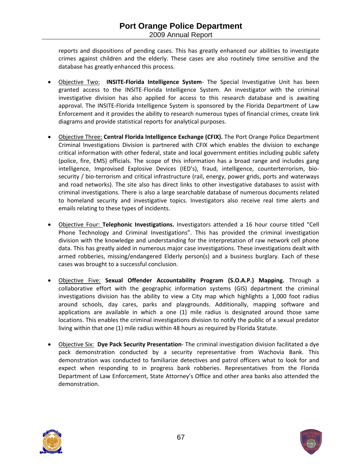reports and dispositions of pending cases. This has greatly enhanced our abilities to investigate crimes against children and the elderly. These cases are also routinely time sensitive and the database has greatly enhanced this process.

- Objective Two: **INSITE‐Florida Intelligence System**‐ The Special Investigative Unit has been granted access to the INSITE‐Florida Intelligence System. An investigator with the criminal investigative division has also applied for access to this research database and is awaiting approval. The INSITE‐Florida Intelligence System is sponsored by the Florida Department of Law Enforcement and it provides the ability to research numerous types of financial crimes, create link diagrams and provide statistical reports for analytical purposes.
- Objective Three: **Central Florida Intelligence Exchange (CFIX).** The Port Orange Police Department Criminal Investigations Division is partnered with CFIX which enables the division to exchange critical information with other federal, state and local government entities including public safety (police, fire, EMS) officials. The scope of this information has a broad range and includes gang intelligence, Improvised Explosive Devices (IED's), fraud, intelligence, counterterrorism, biosecurity / bio-terrorism and critical infrastructure (rail, energy, power grids, ports and waterways and road networks). The site also has direct links to other investigative databases to assist with criminal investigations. There is also a large searchable database of numerous documents related to homeland security and investigative topics. Investigators also receive real time alerts and emails relating to these types of incidents.
- Objective Four: **Telephonic Investigations.** Investigators attended a 16 hour course titled "Cell Phone Technology and Criminal Investigations". This has provided the criminal investigation division with the knowledge and understanding for the interpretation of raw network cell phone data. This has greatly aided in numerous major case investigations. These investigations dealt with armed robberies, missing/endangered Elderly person(s) and a business burglary. Each of these cases was brought to a successful conclusion.
- Objective Five: **Sexual Offender Accountability Program (S.O.A.P.) Mapping.** Through a collaborative effort with the geographic information systems (GIS) department the criminal investigations division has the ability to view a City map which highlights a 1,000 foot radius around schools, day cares, parks and playgrounds. Additionally, mapping software and applications are available in which a one (1) mile radius is designated around those same locations. This enables the criminal investigations division to notify the public of a sexual predator living within that one (1) mile radius within 48 hours as required by Florida Statute.
- Objective Six: **Dye Pack Security Presentation**‐ The criminal investigation division facilitated a dye pack demonstration conducted by a security representative from Wachovia Bank. This demonstration was conducted to familiarize detectives and patrol officers what to look for and expect when responding to in progress bank robberies. Representatives from the Florida Department of Law Enforcement, State Attorney's Office and other area banks also attended the demonstration.



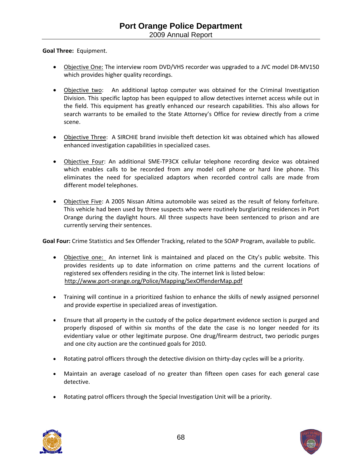**Goal Three:** Equipment.

- Objective One: The interview room DVD/VHS recorder was upgraded to a JVC model DR-MV150 which provides higher quality recordings.
- Objective two: An additional laptop computer was obtained for the Criminal Investigation Division. This specific laptop has been equipped to allow detectives internet access while out in the field. This equipment has greatly enhanced our research capabilities. This also allows for search warrants to be emailed to the State Attorney's Office for review directly from a crime scene.
- Objective Three: A SIRCHIE brand invisible theft detection kit was obtained which has allowed enhanced investigation capabilities in specialized cases.
- Objective Four: An additional SME‐TP3CX cellular telephone recording device was obtained which enables calls to be recorded from any model cell phone or hard line phone. This eliminates the need for specialized adaptors when recorded control calls are made from different model telephones.
- Objective Five: A 2005 Nissan Altima automobile was seized as the result of felony forfeiture. This vehicle had been used by three suspects who were routinely burglarizing residences in Port Orange during the daylight hours. All three suspects have been sentenced to prison and are currently serving their sentences.

**Goal Four:** Crime Statistics and Sex Offender Tracking, related to the SOAP Program, available to public.

- Objective one: An internet link is maintained and placed on the City's public website. This provides residents up to date information on crime patterns and the current locations of registered sex offenders residing in the city. The internet link is listed below: http://www.port‐orange.org/Police/Mapping/SexOffenderMap.pdf
- Training will continue in a prioritized fashion to enhance the skills of newly assigned personnel and provide expertise in specialized areas of investigation.
- Ensure that all property in the custody of the police department evidence section is purged and properly disposed of within six months of the date the case is no longer needed for its evidentiary value or other legitimate purpose. One drug/firearm destruct, two periodic purges and one city auction are the continued goals for 2010.
- Rotating patrol officers through the detective division on thirty-day cycles will be a priority.
- Maintain an average caseload of no greater than fifteen open cases for each general case detective.
- Rotating patrol officers through the Special Investigation Unit will be a priority.

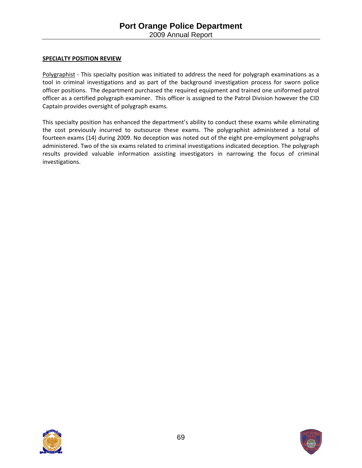### **SPECIALTY POSITION REVIEW**

Polygraphist - This specialty position was initiated to address the need for polygraph examinations as a tool in criminal investigations and as part of the background investigation process for sworn police officer positions. The department purchased the required equipment and trained one uniformed patrol officer as a certified polygraph examiner. This officer is assigned to the Patrol Division however the CID Captain provides oversight of polygraph exams.

This specialty position has enhanced the department's ability to conduct these exams while eliminating the cost previously incurred to outsource these exams. The polygraphist administered a total of fourteen exams (14) during 2009. No deception was noted out of the eight pre-employment polygraphs administered. Two of the six exams related to criminal investigations indicated deception. The polygraph results provided valuable information assisting investigators in narrowing the focus of criminal investigations.



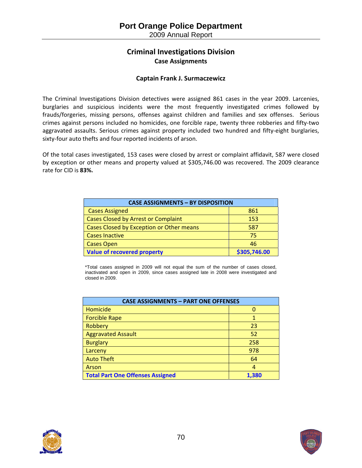# **Criminal Investigations Division Case Assignments**

# **Captain Frank J. Surmaczewicz**

The Criminal Investigations Division detectives were assigned 861 cases in the year 2009. Larcenies, burglaries and suspicious incidents were the most frequently investigated crimes followed by frauds/forgeries, missing persons, offenses against children and families and sex offenses. Serious crimes against persons included no homicides, one forcible rape, twenty three robberies and fifty-two aggravated assaults. Serious crimes against property included two hundred and fifty‐eight burglaries, sixty-four auto thefts and four reported incidents of arson.

Of the total cases investigated, 153 cases were closed by arrest or complaint affidavit, 587 were closed by exception or other means and property valued at \$305,746.00 was recovered. The 2009 clearance rate for CID is **83%.**

| <b>CASE ASSIGNMENTS - BY DISPOSITION</b>   |              |  |  |  |  |  |  |
|--------------------------------------------|--------------|--|--|--|--|--|--|
| <b>Cases Assigned</b>                      | 861          |  |  |  |  |  |  |
| <b>Cases Closed by Arrest or Complaint</b> | 153          |  |  |  |  |  |  |
| Cases Closed by Exception or Other means   | 587          |  |  |  |  |  |  |
| <b>Cases Inactive</b>                      | 75           |  |  |  |  |  |  |
| <b>Cases Open</b>                          | 46           |  |  |  |  |  |  |
| <b>Value of recovered property</b>         | \$305,746.00 |  |  |  |  |  |  |

 \*Total cases assigned in 2009 will not equal the sum of the number of cases closed, inactivated and open in 2009, since cases assigned late in 2008 were investigated and closed in 2009.

| <b>CASE ASSIGNMENTS - PART ONE OFFENSES</b> |       |  |  |  |  |  |  |
|---------------------------------------------|-------|--|--|--|--|--|--|
| <b>Homicide</b>                             |       |  |  |  |  |  |  |
| <b>Forcible Rape</b>                        |       |  |  |  |  |  |  |
| Robbery                                     | 23    |  |  |  |  |  |  |
| <b>Aggravated Assault</b>                   | 52    |  |  |  |  |  |  |
| <b>Burglary</b>                             | 258   |  |  |  |  |  |  |
| Larceny                                     | 978   |  |  |  |  |  |  |
| <b>Auto Theft</b>                           | 64    |  |  |  |  |  |  |
| Arson                                       | 4     |  |  |  |  |  |  |
| <b>Total Part One Offenses Assigned</b>     | 1,380 |  |  |  |  |  |  |

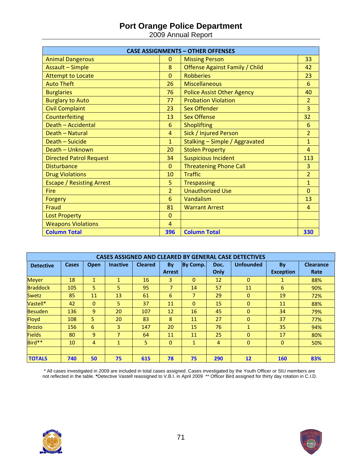2009 Annual Report

| <b>CASE ASSIGNMENTS - OTHER OFFENSES</b> |                |                                       |                |  |  |  |  |  |
|------------------------------------------|----------------|---------------------------------------|----------------|--|--|--|--|--|
| <b>Animal Dangerous</b>                  | 0              | <b>Missing Person</b>                 | 33             |  |  |  |  |  |
| <b>Assault - Simple</b>                  | 8              | <b>Offense Against Family / Child</b> | 42             |  |  |  |  |  |
| <b>Attempt to Locate</b>                 | $\Omega$       | <b>Robberies</b>                      | 23             |  |  |  |  |  |
| <b>Auto Theft</b>                        | 26             | <b>Miscellaneous</b>                  | 6              |  |  |  |  |  |
| <b>Burglaries</b>                        | 76             | <b>Police Assist Other Agency</b>     | 40             |  |  |  |  |  |
| <b>Burglary to Auto</b>                  | 77             | <b>Probation Violation</b>            | $\overline{2}$ |  |  |  |  |  |
| <b>Civil Complaint</b>                   | 23             | <b>Sex Offender</b>                   | 3              |  |  |  |  |  |
| Counterfeiting                           | 13             | <b>Sex Offense</b>                    | 32             |  |  |  |  |  |
| Death - Accidental                       | 6              | <b>Shoplifting</b>                    | 6              |  |  |  |  |  |
| Death - Natural                          | $\overline{4}$ | Sick / Injured Person                 | $\overline{2}$ |  |  |  |  |  |
| Death - Suicide                          | $\mathbf{1}$   | Stalking - Simple / Aggravated        | $\mathbf{1}$   |  |  |  |  |  |
| Death - Unknown                          | 20             | <b>Stolen Property</b>                | $\overline{4}$ |  |  |  |  |  |
| <b>Directed Patrol Request</b>           | 34             | <b>Suspicious Incident</b>            | 113            |  |  |  |  |  |
| <b>Disturbance</b>                       | $\Omega$       | <b>Threatening Phone Call</b>         | 3              |  |  |  |  |  |
| <b>Drug Violations</b>                   | 10             | <b>Traffic</b>                        | $\overline{2}$ |  |  |  |  |  |
| <b>Escape / Resisting Arrest</b>         | 5              | <b>Trespassing</b>                    | $\mathbf{1}$   |  |  |  |  |  |
| Fire                                     | $\overline{2}$ | <b>Unauthorized Use</b>               | $\Omega$       |  |  |  |  |  |
| Forgery                                  | 6              | Vandalism                             | 13             |  |  |  |  |  |
| Fraud                                    | 81             | <b>Warrant Arrest</b>                 | 4              |  |  |  |  |  |
| <b>Lost Property</b>                     | $\Omega$       |                                       |                |  |  |  |  |  |
| <b>Weapons Violations</b>                | $\overline{4}$ |                                       |                |  |  |  |  |  |
| <b>Column Total</b>                      | 396            | <b>Column Total</b>                   | 330            |  |  |  |  |  |

| <b>CASES ASSIGNED AND CLEARED BY GENERAL CASE DETECTIVES</b> |       |              |                 |                |                |              |      |                  |                  |                  |
|--------------------------------------------------------------|-------|--------------|-----------------|----------------|----------------|--------------|------|------------------|------------------|------------------|
| <b>Detective</b>                                             | Cases | Open         | <b>Inactive</b> | <b>Cleared</b> | By             | By Comp.     | Doc. | <b>Unfounded</b> | By               | <b>Clearance</b> |
|                                                              |       |              |                 |                | <b>Arrest</b>  |              | Only |                  | <b>Exception</b> | Rate             |
| <b>Meyer</b>                                                 | 18    | 1            | $\mathbf{1}$    | 16             | 3              | $\mathbf{0}$ | 12   | $\mathbf{0}$     | $\mathbf{1}$     | 88%              |
| <b>Braddock</b>                                              | 105   | 5            | 5               | 95             | $\overline{7}$ | 14           | 57   | 11               | 6                | 90%              |
| <b>Swetz</b>                                                 | 85    | 11           | 13              | 61             | 6              | 7            | 29   | $\mathbf{0}$     | 19               | 72%              |
| Vastell*                                                     | 42    | $\mathbf{0}$ | 5               | 37             | 11             | $\Omega$     | 15   | $\mathbf 0$      | 11               | 88%              |
| <b>Besuden</b>                                               | 136   | 9            | 20              | 107            | 12             | 16           | 45   | $\Omega$         | 34               | 79%              |
| Floyd                                                        | 108   | 5.           | 20              | 83             | 8              | 11           | 27   | $\mathbf{0}$     | 37               | 77%              |
| <b>Brozio</b>                                                | 156   | 6            | 3               | 147            | 20             | 15           | 76   | $\mathbf{1}$     | 35               | 94%              |
| <b>Fields</b>                                                | 80    | 9            | 7               | 64             | 11             | 11           | 25   | $\Omega$         | 17               | 80%              |
| Bird**                                                       | 10    | 4            | $\mathbf{1}$    | 5.             | $\Omega$       | $\mathbf{1}$ | 4    | $\mathbf{0}$     | $\mathbf{0}$     | 50%              |
|                                                              |       |              |                 |                |                |              |      |                  |                  |                  |
| <b>TOTALS</b>                                                | 740   | 50           | 75              | 615            | 78             | 75           | 290  | 12               | 160              | 83%              |

 \* All cases investigated in 2009 are included in total cases assigned. Cases investigated by the Youth Officer or SIU members are not reflected in the table. **\***Detective Vastell reassigned to V.B.I. in April 2009 \*\* Officer Bird assigned for thirty day rotation in C.I.D.

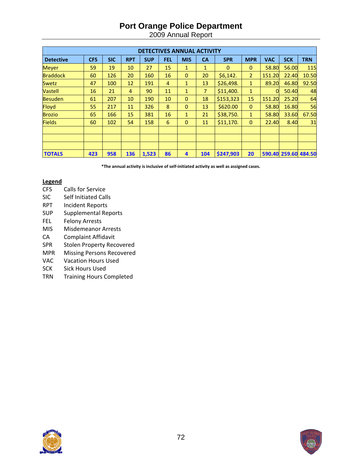2009 Annual Report

| <b>DETECTIVES ANNUAL ACTIVITY</b> |            |            |            |            |                |              |              |            |                |            |            |                      |
|-----------------------------------|------------|------------|------------|------------|----------------|--------------|--------------|------------|----------------|------------|------------|----------------------|
| <b>Detective</b>                  | <b>CFS</b> | <b>SIC</b> | <b>RPT</b> | <b>SUP</b> | <b>FEL</b>     | <b>MIS</b>   | <b>CA</b>    | <b>SPR</b> | <b>MPR</b>     | <b>VAC</b> | <b>SCK</b> | <b>TRN</b>           |
| <b>Meyer</b>                      | 59         | 19         | 10         | 27         | 15             | $\mathbf{1}$ | $\mathbf{1}$ | $\Omega$   | $\mathbf{0}$   | 58.80      | 56.00      | 115                  |
| <b>Braddock</b>                   | 60         | 126        | 20         | 160        | 16             | 0            | 20           | \$6,142.   | $\overline{2}$ | 151.20     | 22.40      | 10.50                |
| <b>Swetz</b>                      | 47         | 100        | 12         | 191        | $\overline{4}$ | 1            | 13           | \$26,498.  | $\mathbf{1}$   | 89.20      | 46.80      | 92.50                |
| <b>Vastell</b>                    | 16         | 21         | 4          | 90         | 11             | $\mathbf{1}$ | 7            | \$11,400.  | $\mathbf{1}$   | $\Omega$   | 50.40      | 48                   |
| <b>Besuden</b>                    | 61         | 207        | 10         | 190        | 10             | $\mathbf{0}$ | 18           | \$153,323  | 15             | 151.20     | 25.20      | 64                   |
| Floyd                             | 55         | 217        | 11         | 326        | 8              | $\Omega$     | 13           | \$620.00   | $\Omega$       | 58.80      | 16.80      | 56                   |
| <b>Brozio</b>                     | 65         | 166        | 15         | 381        | 16             | $\mathbf{1}$ | 21           | \$38,750.  | $\mathbf{1}$   | 58.80      | 33.60      | 67.50                |
| <b>Fields</b>                     | 60         | 102        | 54         | 158        | 6              | 0            | 11           | \$11,170.  | $\mathbf{0}$   | 22.40      | 8.40       | 31                   |
|                                   |            |            |            |            |                |              |              |            |                |            |            |                      |
|                                   |            |            |            |            |                |              |              |            |                |            |            |                      |
|                                   |            |            |            |            |                |              |              |            |                |            |            |                      |
| <b>TOTALS</b>                     | 423        | 958        | 136        | 1,523      | 86             | 4            | 104          | \$247,903  | 20             |            |            | 590.40 259.60 484.50 |

**\*The annual activity is inclusive of self‐initiated activity as well as assigned cases.**

#### **Legend**

- CFS Calls for Service
- SIC Self Initiated Calls
- RPT Incident Reports
- SUP Supplemental Reports
- FEL Felony Arrests
- MIS Misdemeanor Arrests
- CA Complaint Affidavit<br>SPR Stolen Property Rec
- Stolen Property Recovered
- MPR Missing Persons Recovered
- VAC Vacation Hours Used
- SCK Sick Hours Used
- TRN Training Hours Completed

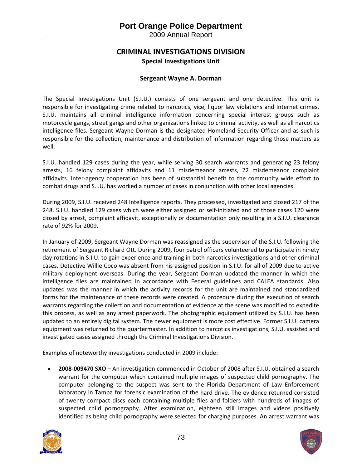# **CRIMINAL INVESTIGATIONS DIVISION Special Investigations Unit**

## **Sergeant Wayne A. Dorman**

The Special Investigations Unit (S.I.U.) consists of one sergeant and one detective. This unit is responsible for investigating crime related to narcotics, vice, liquor law violations and Internet crimes. S.I.U. maintains all criminal intelligence information concerning special interest groups such as motorcycle gangs, street gangs and other organizations linked to criminal activity, as well as all narcotics intelligence files. Sergeant Wayne Dorman is the designated Homeland Security Officer and as such is responsible for the collection, maintenance and distribution of information regarding those matters as well.

S.I.U. handled 129 cases during the year, while serving 30 search warrants and generating 23 felony arrests, 16 felony complaint affidavits and 11 misdemeanor arrests, 22 misdemeanor complaint affidavits. Inter‐agency cooperation has been of substantial benefit to the community wide effort to combat drugs and S.I.U. has worked a number of cases in conjunction with other local agencies.

During 2009, S.I.U. received 248 Intelligence reports. They processed, investigated and closed 217 of the 248. S.I.U. handled 129 cases which were either assigned or self‐initiated and of those cases 120 were closed by arrest, complaint affidavit, exceptionally or documentation only resulting in a S.I.U. clearance rate of 92% for 2009.

In January of 2009, Sergeant Wayne Dorman was reassigned as the supervisor of the S.I.U. following the retirement of Sergeant Richard Ott. During 2009, four patrol officers volunteered to participate in ninety day rotations in S.I.U. to gain experience and training in both narcotics investigations and other criminal cases. Detective Willie Coco was absent from his assigned position in S.I.U. for all of 2009 due to active military deployment overseas. During the year, Sergeant Dorman updated the manner in which the intelligence files are maintained in accordance with Federal guidelines and CALEA standards. Also updated was the manner in which the activity records for the unit are maintained and standardized forms for the maintenance of these records were created. A procedure during the execution of search warrants regarding the collection and documentation of evidence at the scene was modified to expedite this process, as well as any arrest paperwork. The photographic equipment utilized by S.I.U. has been updated to an entirely digital system. The newer equipment is more cost effective. Former S.I.U. camera equipment was returned to the quartermaster. In addition to narcotics investigations, S.I.U. assisted and investigated cases assigned through the Criminal Investigations Division.

Examples of noteworthy investigations conducted in 2009 include:

 **2008‐009470 SXO** – An investigation commenced in October of 2008 after S.I.U. obtained a search warrant for the computer which contained multiple images of suspected child pornography. The computer belonging to the suspect was sent to the Florida Department of Law Enforcement laboratory in Tampa for forensic examination of the hard drive. The evidence returned consisted of twenty compact discs each containing multiple files and folders with hundreds of images of suspected child pornography. After examination, eighteen still images and videos positively identified as being child pornography were selected for charging purposes. An arrest warrant was



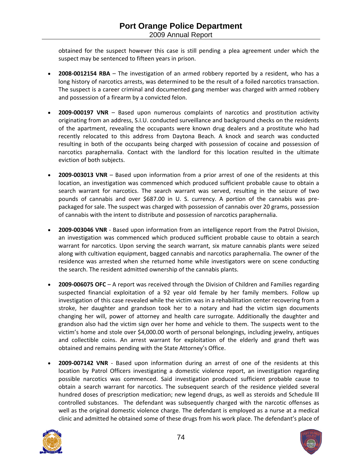obtained for the suspect however this case is still pending a plea agreement under which the suspect may be sentenced to fifteen years in prison.

- **2008‐0012154 RBA** The investigation of an armed robbery reported by a resident, who has a long history of narcotics arrests, was determined to be the result of a foiled narcotics transaction. The suspect is a career criminal and documented gang member was charged with armed robbery and possession of a firearm by a convicted felon.
- **2009‐000197 VNR** Based upon numerous complaints of narcotics and prostitution activity originating from an address, S.I.U. conducted surveillance and background checks on the residents of the apartment, revealing the occupants were known drug dealers and a prostitute who had recently relocated to this address from Daytona Beach. A knock and search was conducted resulting in both of the occupants being charged with possession of cocaine and possession of narcotics paraphernalia. Contact with the landlord for this location resulted in the ultimate eviction of both subjects.
- **2009‐003013 VNR** Based upon information from a prior arrest of one of the residents at this location, an investigation was commenced which produced sufficient probable cause to obtain a search warrant for narcotics. The search warrant was served, resulting in the seizure of two pounds of cannabis and over \$687.00 in U. S. currency. A portion of the cannabis was pre‐ packaged for sale. The suspect was charged with possession of cannabis over 20 grams, possession of cannabis with the intent to distribute and possession of narcotics paraphernalia.
- **2009‐003046 VNR** ‐ Based upon information from an intelligence report from the Patrol Division, an investigation was commenced which produced sufficient probable cause to obtain a search warrant for narcotics. Upon serving the search warrant, six mature cannabis plants were seized along with cultivation equipment, bagged cannabis and narcotics paraphernalia. The owner of the residence was arrested when she returned home while investigators were on scene conducting the search. The resident admitted ownership of the cannabis plants.
- **2009‐006075 OFC** A report was received through the Division of Children and Families regarding suspected financial exploitation of a 92 year old female by her family members. Follow up investigation of this case revealed while the victim was in a rehabilitation center recovering from a stroke, her daughter and grandson took her to a notary and had the victim sign documents changing her will, power of attorney and health care surrogate. Additionally the daughter and grandson also had the victim sign over her home and vehicle to them. The suspects went to the victim's home and stole over \$4,000.00 worth of personal belongings, including jewelry, antiques and collectible coins. An arrest warrant for exploitation of the elderly and grand theft was obtained and remains pending with the State Attorney's Office.
- **2009‐007142 VNR** ‐ Based upon information during an arrest of one of the residents at this location by Patrol Officers investigating a domestic violence report, an investigation regarding possible narcotics was commenced. Said investigation produced sufficient probable cause to obtain a search warrant for narcotics. The subsequent search of the residence yielded several hundred doses of prescription medication; new legend drugs, as well as steroids and Schedule lll controlled substances. The defendant was subsequently charged with the narcotic offenses as well as the original domestic violence charge. The defendant is employed as a nurse at a medical clinic and admitted he obtained some of these drugs from his work place. The defendant's place of



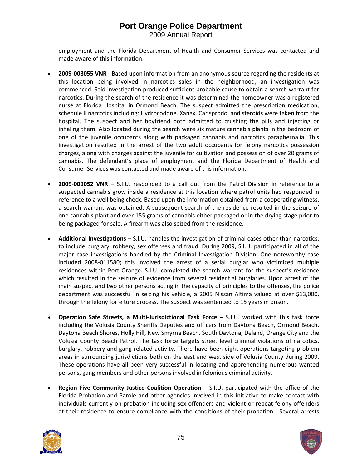employment and the Florida Department of Health and Consumer Services was contacted and made aware of this information.

- **2009‐008055 VNR** ‐ Based upon information from an anonymous source regarding the residents at this location being involved in narcotics sales in the neighborhood, an investigation was commenced. Said investigation produced sufficient probable cause to obtain a search warrant for narcotics. During the search of the residence it was determined the homeowner was a registered nurse at Florida Hospital in Ormond Beach. The suspect admitted the prescription medication, schedule ll narcotics including: Hydrocodone, Xanax, Carisprodol and steroids were taken from the hospital. The suspect and her boyfriend both admitted to crushing the pills and injecting or inhaling them. Also located during the search were six mature cannabis plants in the bedroom of one of the juvenile occupants along with packaged cannabis and narcotics paraphernalia. This investigation resulted in the arrest of the two adult occupants for felony narcotics possession charges, along with charges against the juvenile for cultivation and possession of over 20 grams of cannabis. The defendant's place of employment and the Florida Department of Health and Consumer Services was contacted and made aware of this information.
- **2009**‐**009052 VNR –** S.I.U. responded to a call out from the Patrol Division in reference to a suspected cannabis grow inside a residence at this location where patrol units had responded in reference to a well being check. Based upon the information obtained from a cooperating witness, a search warrant was obtained. A subsequent search of the residence resulted in the seizure of one cannabis plant and over 155 grams of cannabis either packaged or in the drying stage prior to being packaged for sale. A firearm was also seized from the residence.
- **Additional Investigations** S.I.U. handles the investigation of criminal cases other than narcotics, to include burglary, robbery, sex offenses and fraud. During 2009, S.I.U. participated in all of the major case investigations handled by the Criminal Investigation Division. One noteworthy case included 2008‐011580; this involved the arrest of a serial burglar who victimized multiple residences within Port Orange. S.I.U. completed the search warrant for the suspect's residence which resulted in the seizure of evidence from several residential burglaries. Upon arrest of the main suspect and two other persons acting in the capacity of principles to the offenses, the police department was successful in seizing his vehicle, a 2005 Nissan Altima valued at over \$13,000, through the felony forfeiture process. The suspect was sentenced to 15 years in prison.
- **Operation Safe Streets, a Multi‐Jurisdictional Task Force** S.I.U. worked with this task force including the Volusia County Sheriffs Deputies and officers from Daytona Beach, Ormond Beach, Daytona Beach Shores, Holly Hill, New Smyrna Beach, South Daytona, Deland, Orange City and the Volusia County Beach Patrol. The task force targets street level criminal violations of narcotics, burglary, robbery and gang related activity. There have been eight operations targeting problem areas in surrounding jurisdictions both on the east and west side of Volusia County during 2009. These operations have all been very successful in locating and apprehending numerous wanted persons, gang members and other persons involved in felonious criminal activity.
- **Region Five Community Justice Coalition Operation** S.I.U. participated with the office of the Florida Probation and Parole and other agencies involved in this initiative to make contact with individuals currently on probation including sex offenders and violent or repeat felony offenders at their residence to ensure compliance with the conditions of their probation. Several arrests



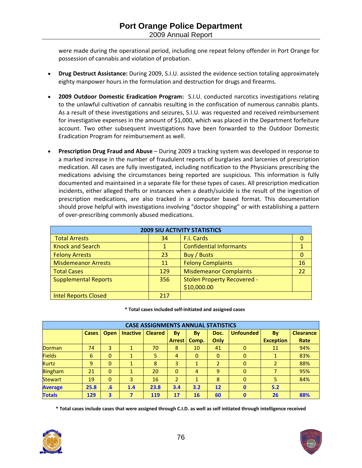were made during the operational period, including one repeat felony offender in Port Orange for possession of cannabis and violation of probation.

- **Drug Destruct Assistance:** During 2009, S.I.U. assisted the evidence section totaling approximately eighty manpower hours in the formulation and destruction for drugs and firearms.
- **2009 Outdoor Domestic Eradication Program:** S.I.U. conducted narcotics investigations relating to the unlawful cultivation of cannabis resulting in the confiscation of numerous cannabis plants. As a result of these investigations and seizures, S.I.U. was requested and received reimbursement for investigative expenses in the amount of \$1,000, which was placed in the Department forfeiture account. Two other subsequent investigations have been forwarded to the Outdoor Domestic Eradication Program for reimbursement as well.
- **Prescription Drug Fraud and Abuse** During 2009 a tracking system was developed in response to a marked increase in the number of fraudulent reports of burglaries and larcenies of prescription medication. All cases are fully investigated, including notification to the Physicians prescribing the medications advising the circumstances being reported are suspicious. This information is fully documented and maintained in a separate file for these types of cases. All prescription medication incidents, either alleged thefts or instances when a death/suicide is the result of the ingestion of prescription medications, are also tracked in a computer based format. This documentation should prove helpful with investigations involving "doctor shopping" or with establishing a pattern of over‐prescribing commonly abused medications.

| <b>2009 SIU ACTIVITY STATISTICS</b> |     |                                    |             |  |  |  |  |  |
|-------------------------------------|-----|------------------------------------|-------------|--|--|--|--|--|
| <b>Total Arrests</b>                | 34  | F.I. Cards                         | 0           |  |  |  |  |  |
| <b>Knock and Search</b>             |     | <b>Confidential Informants</b>     |             |  |  |  |  |  |
| <b>Felony Arrests</b>               | 23  | Buy / Busts                        | $\mathbf 0$ |  |  |  |  |  |
| <b>Misdemeanor Arrests</b>          | 11  | <b>Felony Complaints</b>           | 16          |  |  |  |  |  |
| <b>Total Cases</b>                  | 129 | <b>Misdemeanor Complaints</b>      | 22          |  |  |  |  |  |
| <b>Supplemental Reports</b>         | 356 | <b>Stolen Property Recovered -</b> |             |  |  |  |  |  |
|                                     |     | \$10,000.00                        |             |  |  |  |  |  |
| <b>Intel Reports Closed</b>         | 217 |                                    |             |  |  |  |  |  |

**\* Total cases included self‐initiated and assigned cases**

|                | <b>CASE ASSIGNMENTS ANNUAL STATISTICS</b> |                |                 |                |                |          |                   |                  |                  |                  |  |  |
|----------------|-------------------------------------------|----------------|-----------------|----------------|----------------|----------|-------------------|------------------|------------------|------------------|--|--|
|                | Cases                                     | <b>Open</b>    | <b>Inactive</b> | <b>Cleared</b> | By             | By       | Doc.              | <b>Unfounded</b> | <b>By</b>        | <b>Clearance</b> |  |  |
|                |                                           |                |                 |                | <b>Arrest</b>  | Comp.    | Only              |                  | <b>Exception</b> | Rate             |  |  |
| <b>Dorman</b>  | 74                                        | 3              |                 | 70             | 8              | 10       | 41                | 0                | 11               | 94%              |  |  |
| <b>Fields</b>  | 6                                         | 0              | 1               | 5              | 4              | $\Omega$ | $\Omega$          | 0                |                  | 83%              |  |  |
| <b>Kurtz</b>   | 9                                         | 0              |                 | 8              | 3              |          |                   | 0                |                  | 88%              |  |  |
| <b>Bingham</b> | 21                                        | $\Omega$       |                 | 20             | $\Omega$       | 4        | 9                 | $\Omega$         |                  | 95%              |  |  |
| <b>Stewart</b> | 19                                        | $\overline{0}$ | 3               | 16             | $\overline{2}$ | 1        | 8                 | 0                | 5                | 84%              |  |  |
| <b>Average</b> | 25.8                                      | .6             | 1.4             | 23.8           | 3.4            | 3.2      | $12 \overline{ }$ | $\mathbf{0}$     | 5.2              |                  |  |  |
| <b>Totals</b>  | 129                                       | 3              | 7               | 119            | 17             | 16       | 60                | 0                | 26               | 88%              |  |  |

\* Total cases include cases that were assigned through C.I.D. as well as self initiated through intelligence received

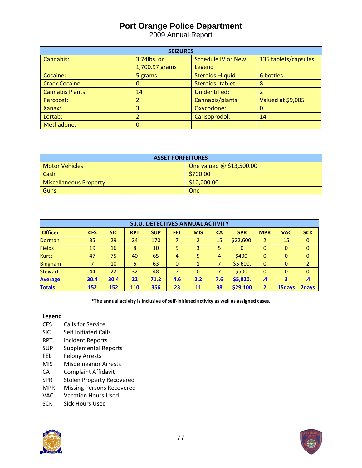# **Port Orange Police Department**

2009 Annual Report

| <b>SEIZURES</b>         |                |                           |                      |  |  |  |  |  |
|-------------------------|----------------|---------------------------|----------------------|--|--|--|--|--|
| Cannabis:               | 3.74lbs. or    | <b>Schedule IV or New</b> | 135 tablets/capsules |  |  |  |  |  |
|                         | 1,700.97 grams | Legend                    |                      |  |  |  |  |  |
| Cocaine:                | 5 grams        | Steroids-liquid           | 6 bottles            |  |  |  |  |  |
| <b>Crack Cocaine</b>    |                | Steroids -tablet          | 8                    |  |  |  |  |  |
| <b>Cannabis Plants:</b> | 14             | Unidentified:             |                      |  |  |  |  |  |
| Percocet:               |                | Cannabis/plants           | Valued at \$9,005    |  |  |  |  |  |
| Xanax:                  | 3              | Oxycodone:                |                      |  |  |  |  |  |
| Lortab:                 |                | Carisoprodol:             | 14                   |  |  |  |  |  |
| Methadone:              | 0              |                           |                      |  |  |  |  |  |

| <b>ASSET FORFEITURES</b>      |                          |  |  |  |  |  |  |
|-------------------------------|--------------------------|--|--|--|--|--|--|
| Motor Vehicles                | One valued @ \$13,500.00 |  |  |  |  |  |  |
| Cash                          | \$700.00                 |  |  |  |  |  |  |
| <b>Miscellaneous Property</b> | \$10,000.00              |  |  |  |  |  |  |
| Guns                          | One                      |  |  |  |  |  |  |

| <b>S.I.U. DETECTIVES ANNUAL ACTIVITY</b> |            |                 |            |                 |                |                |           |            |                |              |                |
|------------------------------------------|------------|-----------------|------------|-----------------|----------------|----------------|-----------|------------|----------------|--------------|----------------|
| <b>Officer</b>                           | <b>CFS</b> | <b>SIC</b>      | <b>RPT</b> | <b>SUP</b>      | <b>FEL</b>     | <b>MIS</b>     | <b>CA</b> | <b>SPR</b> | <b>MPR</b>     | <b>VAC</b>   | <b>SCK</b>     |
| Dorman                                   | 35         | 29              | 24         | 170             | 7              | $\overline{2}$ | 15        | \$22,600.  | $\overline{2}$ | 15           | $\mathbf{0}$   |
| <b>Fields</b>                            | 19         | 16              | 8          | 10 <sup>°</sup> | 5              | 3              | 5         | $\Omega$   | 0              | $\mathbf{0}$ | $\mathbf{0}$   |
| <b>Kurtz</b>                             | 47         | 75              | 40         | 65              | $\overline{4}$ | 5              | 4         | \$400.     | $\Omega$       | $\mathbf{0}$ | $\mathbf{0}$   |
| <b>Bingham</b>                           |            | 10 <sup>°</sup> | 6          | 63              | 0              | 1              |           | \$5,600.   | $\mathbf{0}$   | $\mathbf{0}$ | $\overline{2}$ |
| <b>Stewart</b>                           | 44         | 22              | 32         | 48              | ⇁              | $\overline{0}$ |           | \$500.     | $\mathbf{0}$   | $\mathbf{0}$ | $\mathbf{0}$   |
| <b>Average</b>                           | 30.4       | 30.4            | 22         | 71.2            | 4.6            | 2.2            | 7.6       | \$5,820.   | $\cdot$        | 3            | $\cdot$        |
| <b>Totals</b>                            | 152        | 152             | 110        | 356             | 23             | 11             | 38        | \$29,100   | $\overline{2}$ | 15days       | 2days          |

**\*The annual activity is inclusive of self‐initiated activity as well as assigned cases.**

## **Legend**

- CFS Calls for Service
- SIC Self Initiated Calls
- RPT Incident Reports
- SUP Supplemental Reports
- FEL Felony Arrests
- MIS Misdemeanor Arrests
- CA Complaint Affidavit
- SPR Stolen Property Recovered
- MPR Missing Persons Recovered
- VAC Vacation Hours Used
- SCK Sick Hours Used



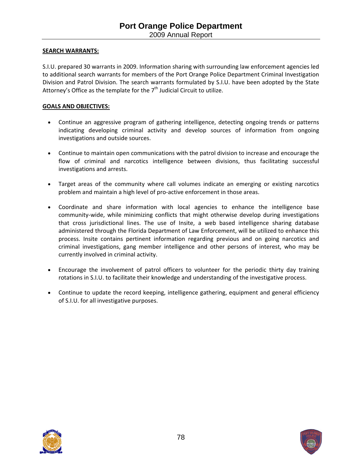## **SEARCH WARRANTS:**

S.I.U. prepared 30 warrants in 2009. Information sharing with surrounding law enforcement agencies led to additional search warrants for members of the Port Orange Police Department Criminal Investigation Division and Patrol Division. The search warrants formulated by S.I.U. have been adopted by the State Attorney's Office as the template for the  $7<sup>th</sup>$  Judicial Circuit to utilize.

#### **GOALS AND OBJECTIVES:**

- Continue an aggressive program of gathering intelligence, detecting ongoing trends or patterns indicating developing criminal activity and develop sources of information from ongoing investigations and outside sources.
- Continue to maintain open communications with the patrol division to increase and encourage the flow of criminal and narcotics intelligence between divisions, thus facilitating successful investigations and arrests.
- Target areas of the community where call volumes indicate an emerging or existing narcotics problem and maintain a high level of pro-active enforcement in those areas.
- Coordinate and share information with local agencies to enhance the intelligence base community-wide, while minimizing conflicts that might otherwise develop during investigations that cross jurisdictional lines. The use of Insite, a web based intelligence sharing database administered through the Florida Department of Law Enforcement, will be utilized to enhance this process. Insite contains pertinent information regarding previous and on going narcotics and criminal investigations, gang member intelligence and other persons of interest, who may be currently involved in criminal activity.
- Encourage the involvement of patrol officers to volunteer for the periodic thirty day training rotations in S.I.U. to facilitate their knowledge and understanding of the investigative process.
- Continue to update the record keeping, intelligence gathering, equipment and general efficiency of S.I.U. for all investigative purposes.



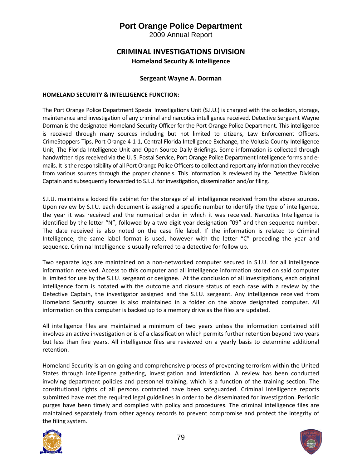# **CRIMINAL INVESTIGATIONS DIVISION Homeland Security & Intelligence**

#### **Sergeant Wayne A. Dorman**

#### **HOMELAND SECURITY & INTELLIGENCE FUNCTION:**

The Port Orange Police Department Special Investigations Unit (S.I.U.) is charged with the collection, storage, maintenance and investigation of any criminal and narcotics intelligence received. Detective Sergeant Wayne Dorman is the designated Homeland Security Officer for the Port Orange Police Department. This intelligence is received through many sources including but not limited to citizens, Law Enforcement Officers, CrimeStoppers Tips, Port Orange 4‐1‐1, Central Florida Intelligence Exchange, the Volusia County Intelligence Unit, The Florida Intelligence Unit and Open Source Daily Briefings. Some information is collected through handwritten tips received via the U. S. Postal Service, Port Orange Police Department Intelligence forms and emails. It isthe responsibility of all Port Orange Police Officersto collect and report any information they receive from various sources through the proper channels. This information is reviewed by the Detective Division Captain and subsequently forwarded to S.I.U. for investigation, dissemination and/or filing.

S.I.U. maintains a locked file cabinet for the storage of all intelligence received from the above sources. Upon review by S.I.U. each document is assigned a specific number to identify the type of intelligence, the year it was received and the numerical order in which it was received. Narcotics Intelligence is identified by the letter "N", followed by a two digit year designation "09" and then sequence number. The date received is also noted on the case file label. If the information is related to Criminal Intelligence, the same label format is used, however with the letter "C" preceding the year and sequence. Criminal Intelligence is usually referred to a detective for follow up.

Two separate logs are maintained on a non-networked computer secured in S.I.U. for all intelligence information received. Access to this computer and all intelligence information stored on said computer is limited for use by the S.I.U. sergeant or designee. At the conclusion of all investigations, each original intelligence form is notated with the outcome and closure status of each case with a review by the Detective Captain, the investigator assigned and the S.I.U. sergeant. Any intelligence received from Homeland Security sources is also maintained in a folder on the above designated computer. All information on this computer is backed up to a memory drive as the files are updated.

All intelligence files are maintained a minimum of two years unless the information contained still involves an active investigation or is of a classification which permits further retention beyond two years but less than five years. All intelligence files are reviewed on a yearly basis to determine additional retention.

Homeland Security is an on‐going and comprehensive process of preventing terrorism within the United States through intelligence gathering, investigation and interdiction. A review has been conducted involving department policies and personnel training, which is a function of the training section. The constitutional rights of all persons contacted have been safeguarded. Criminal Intelligence reports submitted have met the required legal guidelines in order to be disseminated for investigation. Periodic purges have been timely and complied with policy and procedures. The criminal intelligence files are maintained separately from other agency records to prevent compromise and protect the integrity of the filing system.



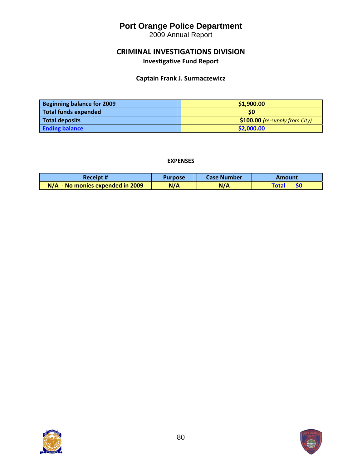# **Port Orange Police Department**

2009 Annual Report

# **CRIMINAL INVESTIGATIONS DIVISION Investigative Fund Report**

## **Captain Frank J. Surmaczewicz**

| <b>Beginning balance for 2009</b> | \$1,900.00                     |
|-----------------------------------|--------------------------------|
| <b>Total funds expended</b>       | S0                             |
| <b>Total deposits</b>             | \$100.00 (re-supply from City) |
| <b>Ending balance</b>             | \$2,000.00                     |

### **EXPENSES**

| Receipt #                          | Purpose | Case Number | Amount             |
|------------------------------------|---------|-------------|--------------------|
| $N/A$ - No monies expended in 2009 | N/A     | N/A         | ŚΟ<br><b>Total</b> |



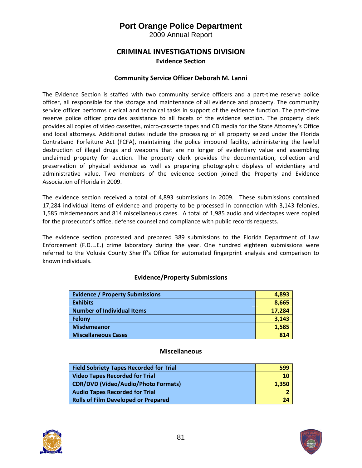# **CRIMINAL INVESTIGATIONS DIVISION Evidence Section**

## **Community Service Officer Deborah M. Lanni**

The Evidence Section is staffed with two community service officers and a part‐time reserve police officer, all responsible for the storage and maintenance of all evidence and property. The community service officer performs clerical and technical tasks in support of the evidence function. The part-time reserve police officer provides assistance to all facets of the evidence section. The property clerk provides all copies of video cassettes, micro‐cassette tapes and CD media for the State Attorney's Office and local attorneys. Additional duties include the processing of all property seized under the Florida Contraband Forfeiture Act (FCFA), maintaining the police impound facility, administering the lawful destruction of illegal drugs and weapons that are no longer of evidentiary value and assembling unclaimed property for auction. The property clerk provides the documentation, collection and preservation of physical evidence as well as preparing photographic displays of evidentiary and administrative value. Two members of the evidence section joined the Property and Evidence Association of Florida in 2009.

The evidence section received a total of 4,893 submissions in 2009. These submissions contained 17,284 individual items of evidence and property to be processed in connection with 3,143 felonies, 1,585 misdemeanors and 814 miscellaneous cases. A total of 1,985 audio and videotapes were copied for the prosecutor's office, defense counsel and compliance with public records requests.

The evidence section processed and prepared 389 submissions to the Florida Department of Law Enforcement (F.D.L.E.) crime laboratory during the year. One hundred eighteen submissions were referred to the Volusia County Sheriff's Office for automated fingerprint analysis and comparison to known individuals.

## **Evidence/Property Submissions**

| <b>Evidence / Property Submissions</b> | 4,893  |
|----------------------------------------|--------|
| <b>Exhibits</b>                        | 8,665  |
| <b>Number of Individual Items</b>      | 17,284 |
| Felony                                 | 3.143  |
| <b>Misdemeanor</b>                     | 1,585  |
| <b>Miscellaneous Cases</b>             | 814    |

#### **Miscellaneous**

| <b>Field Sobriety Tapes Recorded for Trial</b> | 599       |
|------------------------------------------------|-----------|
| <b>Video Tapes Recorded for Trial</b>          | <b>10</b> |
| <b>CDR/DVD (Video/Audio/Photo Formats)</b>     | 1.350     |
| <b>Audio Tapes Recorded for Trial</b>          |           |
| <b>Rolls of Film Developed or Prepared</b>     | 24        |



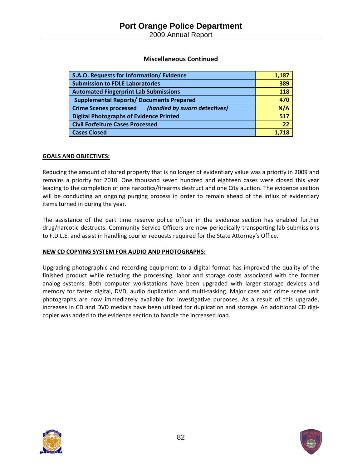2009 Annual Report

## **Miscellaneous Continued**

| S.A.O. Requests for Information/ Evidence                      | 1,187 |
|----------------------------------------------------------------|-------|
| <b>Submission to FDLE Laboratories</b>                         | 389   |
| <b>Automated Fingerprint Lab Submissions</b>                   | 118   |
| <b>Supplemental Reports/ Documents Prepared</b>                | 470   |
| (handled by sworn detectives)<br><b>Crime Scenes processed</b> | N/A   |
| <b>Digital Photographs of Evidence Printed</b>                 | 517   |
| <b>Civil Forfeiture Cases Processed</b>                        | 22    |
| <b>Cases Closed</b>                                            | 1.718 |

### **GOALS AND OBJECTIVES:**

Reducing the amount of stored property that is no longer of evidentiary value was a priority in 2009 and remains a priority for 2010. One thousand seven hundred and eighteen cases were closed this year leading to the completion of one narcotics/firearms destruct and one City auction. The evidence section will be conducting an ongoing purging process in order to remain ahead of the influx of evidentiary items turned in during the year.

The assistance of the part time reserve police officer in the evidence section has enabled further drug/narcotic destructs. Community Service Officers are now periodically transporting lab submissions to F.D.L.E. and assist in handling courier requests required for the State Attorney's Office.

#### **NEW CD COPYING SYSTEM FOR AUDIO AND PHOTOGRAPHS:**

Upgrading photographic and recording equipment to a digital format has improved the quality of the finished product while reducing the processing, labor and storage costs associated with the former analog systems. Both computer workstations have been upgraded with larger storage devices and memory for faster digital, DVD, audio duplication and multi‐tasking. Major case and crime scene unit photographs are now immediately available for investigative purposes. As a result of this upgrade, increases in CD and DVD media's have been utilized for duplication and storage. An additional CD digi‐ copier was added to the evidence section to handle the increased load.



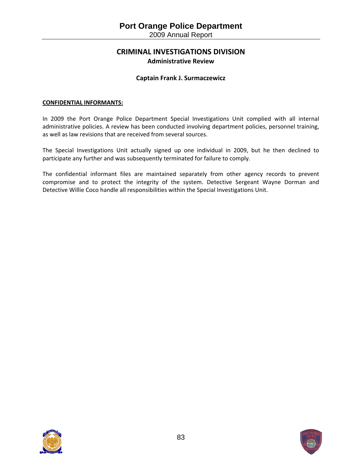# **CRIMINAL INVESTIGATIONS DIVISION Administrative Review**

## **Captain Frank J. Surmaczewicz**

#### **CONFIDENTIAL INFORMANTS:**

In 2009 the Port Orange Police Department Special Investigations Unit complied with all internal administrative policies. A review has been conducted involving department policies, personnel training, as well as law revisions that are received from several sources.

The Special Investigations Unit actually signed up one individual in 2009, but he then declined to participate any further and was subsequently terminated for failure to comply.

The confidential informant files are maintained separately from other agency records to prevent compromise and to protect the integrity of the system. Detective Sergeant Wayne Dorman and Detective Willie Coco handle all responsibilities within the Special Investigations Unit.